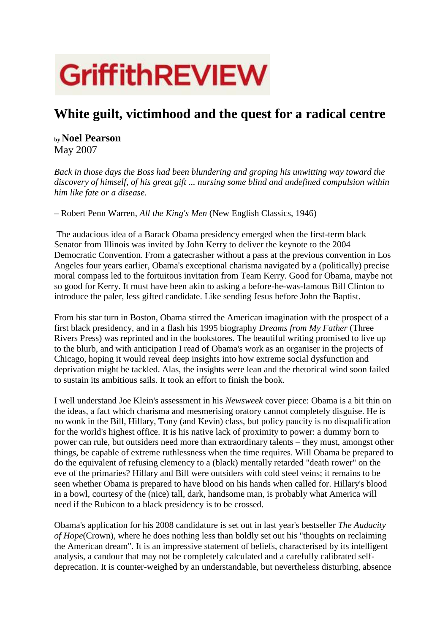# **GriffithREVIEW**

# **White guilt, victimhood and the quest for a radical centre**

# **by Noel Pearson** May 2007

*Back in those days the Boss had been blundering and groping his unwitting way toward the discovery of himself, of his great gift ... nursing some blind and undefined compulsion within him like fate or a disease.*

– Robert Penn Warren, *All the King's Men* (New English Classics, 1946)

The audacious idea of a Barack Obama presidency emerged when the first-term black Senator from Illinois was invited by John Kerry to deliver the keynote to the 2004 Democratic Convention. From a gatecrasher without a pass at the previous convention in Los Angeles four years earlier, Obama's exceptional charisma navigated by a (politically) precise moral compass led to the fortuitous invitation from Team Kerry. Good for Obama, maybe not so good for Kerry. It must have been akin to asking a before-he-was-famous Bill Clinton to introduce the paler, less gifted candidate. Like sending Jesus before John the Baptist.

From his star turn in Boston, Obama stirred the American imagination with the prospect of a first black presidency, and in a flash his 1995 biography *Dreams from My Father* (Three Rivers Press) was reprinted and in the bookstores. The beautiful writing promised to live up to the blurb, and with anticipation I read of Obama's work as an organiser in the projects of Chicago, hoping it would reveal deep insights into how extreme social dysfunction and deprivation might be tackled. Alas, the insights were lean and the rhetorical wind soon failed to sustain its ambitious sails. It took an effort to finish the book.

I well understand Joe Klein's assessment in his *Newsweek* cover piece: Obama is a bit thin on the ideas, a fact which charisma and mesmerising oratory cannot completely disguise. He is no wonk in the Bill, Hillary, Tony (and Kevin) class, but policy paucity is no disqualification for the world's highest office. It is his native lack of proximity to power: a dummy born to power can rule, but outsiders need more than extraordinary talents – they must, amongst other things, be capable of extreme ruthlessness when the time requires. Will Obama be prepared to do the equivalent of refusing clemency to a (black) mentally retarded "death rower" on the eve of the primaries? Hillary and Bill were outsiders with cold steel veins; it remains to be seen whether Obama is prepared to have blood on his hands when called for. Hillary's blood in a bowl, courtesy of the (nice) tall, dark, handsome man, is probably what America will need if the Rubicon to a black presidency is to be crossed.

Obama's application for his 2008 candidature is set out in last year's bestseller *The Audacity of Hope*(Crown)*,* where he does nothing less than boldly set out his "thoughts on reclaiming the American dream". It is an impressive statement of beliefs, characterised by its intelligent analysis, a candour that may not be completely calculated and a carefully calibrated selfdeprecation. It is counter-weighed by an understandable, but nevertheless disturbing, absence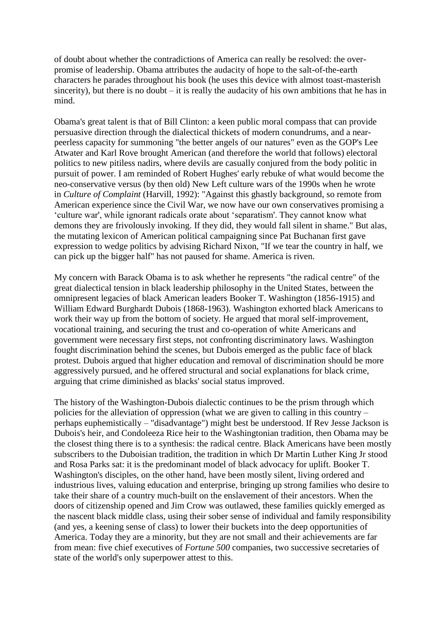of doubt about whether the contradictions of America can really be resolved: the overpromise of leadership. Obama attributes the audacity of hope to the salt-of-the-earth characters he parades throughout his book (he uses this device with almost toast-masterish sincerity), but there is no doubt – it is really the audacity of his own ambitions that he has in mind.

Obama's great talent is that of Bill Clinton: a keen public moral compass that can provide persuasive direction through the dialectical thickets of modern conundrums, and a nearpeerless capacity for summoning "the better angels of our natures" even as the GOP's Lee Atwater and Karl Rove brought American (and therefore the world that follows) electoral politics to new pitiless nadirs, where devils are casually conjured from the body politic in pursuit of power. I am reminded of Robert Hughes' early rebuke of what would become the neo-conservative versus (by then old) New Left culture wars of the 1990s when he wrote in *Culture of Complaint* (Harvill, 1992): "Against this ghastly background, so remote from American experience since the Civil War, we now have our own conservatives promising a 'culture war', while ignorant radicals orate about 'separatism'. They cannot know what demons they are frivolously invoking. If they did, they would fall silent in shame." But alas, the mutating lexicon of American political campaigning since Pat Buchanan first gave expression to wedge politics by advising Richard Nixon, "If we tear the country in half, we can pick up the bigger half" has not paused for shame. America is riven.

My concern with Barack Obama is to ask whether he represents "the radical centre" of the great dialectical tension in black leadership philosophy in the United States, between the omnipresent legacies of black American leaders Booker T. Washington (1856-1915) and William Edward Burghardt Dubois (1868-1963). Washington exhorted black Americans to work their way up from the bottom of society. He argued that moral self-improvement, vocational training, and securing the trust and co-operation of white Americans and government were necessary first steps, not confronting discriminatory laws. Washington fought discrimination behind the scenes, but Dubois emerged as the public face of black protest. Dubois argued that higher education and removal of discrimination should be more aggressively pursued, and he offered structural and social explanations for black crime, arguing that crime diminished as blacks' social status improved.

The history of the Washington-Dubois dialectic continues to be the prism through which policies for the alleviation of oppression (what we are given to calling in this country – perhaps euphemistically – "disadvantage") might best be understood. If Rev Jesse Jackson is Dubois's heir, and Condoleeza Rice heir to the Washingtonian tradition, then Obama may be the closest thing there is to a synthesis: the radical centre. Black Americans have been mostly subscribers to the Duboisian tradition, the tradition in which Dr Martin Luther King Jr stood and Rosa Parks sat: it is the predominant model of black advocacy for uplift. Booker T. Washington's disciples, on the other hand, have been mostly silent, living ordered and industrious lives, valuing education and enterprise, bringing up strong families who desire to take their share of a country much-built on the enslavement of their ancestors. When the doors of citizenship opened and Jim Crow was outlawed, these families quickly emerged as the nascent black middle class, using their sober sense of individual and family responsibility (and yes, a keening sense of class) to lower their buckets into the deep opportunities of America. Today they are a minority, but they are not small and their achievements are far from mean: five chief executives of *Fortune 500* companies, two successive secretaries of state of the world's only superpower attest to this.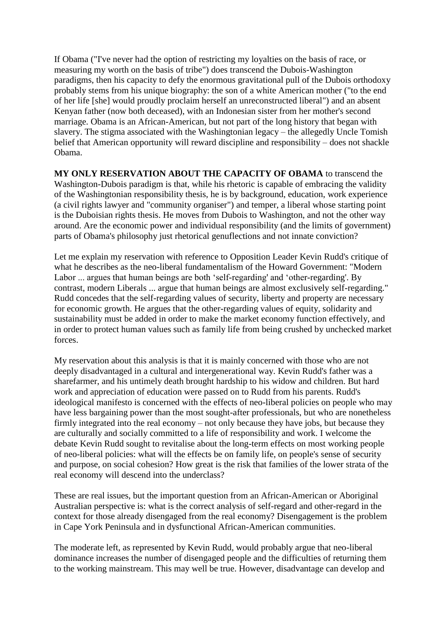If Obama ("I've never had the option of restricting my loyalties on the basis of race, or measuring my worth on the basis of tribe") does transcend the Dubois-Washington paradigms, then his capacity to defy the enormous gravitational pull of the Dubois orthodoxy probably stems from his unique biography: the son of a white American mother ("to the end of her life [she] would proudly proclaim herself an unreconstructed liberal") and an absent Kenyan father (now both deceased), with an Indonesian sister from her mother's second marriage. Obama is an African-American, but not part of the long history that began with slavery. The stigma associated with the Washingtonian legacy – the allegedly Uncle Tomish belief that American opportunity will reward discipline and responsibility – does not shackle Obama.

**MY ONLY RESERVATION ABOUT THE CAPACITY OF OBAMA** to transcend the Washington-Dubois paradigm is that, while his rhetoric is capable of embracing the validity of the Washingtonian responsibility thesis, he is by background, education, work experience (a civil rights lawyer and "community organiser") and temper, a liberal whose starting point is the Duboisian rights thesis. He moves from Dubois to Washington, and not the other way around. Are the economic power and individual responsibility (and the limits of government) parts of Obama's philosophy just rhetorical genuflections and not innate conviction?

Let me explain my reservation with reference to Opposition Leader Kevin Rudd's critique of what he describes as the neo-liberal fundamentalism of the Howard Government: "Modern Labor ... argues that human beings are both 'self-regarding' and 'other-regarding'. By contrast, modern Liberals ... argue that human beings are almost exclusively self-regarding." Rudd concedes that the self-regarding values of security, liberty and property are necessary for economic growth. He argues that the other-regarding values of equity, solidarity and sustainability must be added in order to make the market economy function effectively, and in order to protect human values such as family life from being crushed by unchecked market forces.

My reservation about this analysis is that it is mainly concerned with those who are not deeply disadvantaged in a cultural and intergenerational way. Kevin Rudd's father was a sharefarmer, and his untimely death brought hardship to his widow and children. But hard work and appreciation of education were passed on to Rudd from his parents. Rudd's ideological manifesto is concerned with the effects of neo-liberal policies on people who may have less bargaining power than the most sought-after professionals, but who are nonetheless firmly integrated into the real economy – not only because they have jobs, but because they are culturally and socially committed to a life of responsibility and work. I welcome the debate Kevin Rudd sought to revitalise about the long-term effects on most working people of neo-liberal policies: what will the effects be on family life, on people's sense of security and purpose, on social cohesion? How great is the risk that families of the lower strata of the real economy will descend into the underclass?

These are real issues, but the important question from an African-American or Aboriginal Australian perspective is: what is the correct analysis of self-regard and other-regard in the context for those already disengaged from the real economy? Disengagement is the problem in Cape York Peninsula and in dysfunctional African-American communities.

The moderate left, as represented by Kevin Rudd, would probably argue that neo-liberal dominance increases the number of disengaged people and the difficulties of returning them to the working mainstream. This may well be true. However, disadvantage can develop and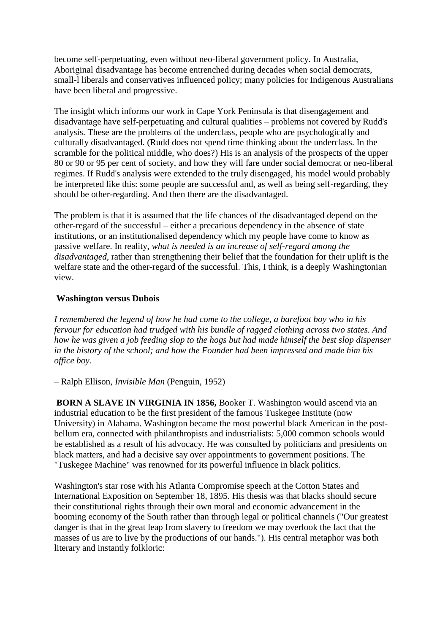become self-perpetuating, even without neo-liberal government policy. In Australia, Aboriginal disadvantage has become entrenched during decades when social democrats, small-l liberals and conservatives influenced policy; many policies for Indigenous Australians have been liberal and progressive.

The insight which informs our work in Cape York Peninsula is that disengagement and disadvantage have self-perpetuating and cultural qualities – problems not covered by Rudd's analysis. These are the problems of the underclass, people who are psychologically and culturally disadvantaged. (Rudd does not spend time thinking about the underclass. In the scramble for the political middle, who does?) His is an analysis of the prospects of the upper 80 or 90 or 95 per cent of society, and how they will fare under social democrat or neo-liberal regimes. If Rudd's analysis were extended to the truly disengaged, his model would probably be interpreted like this: some people are successful and, as well as being self-regarding, they should be other-regarding. And then there are the disadvantaged.

The problem is that it is assumed that the life chances of the disadvantaged depend on the other-regard of the successful – either a precarious dependency in the absence of state institutions, or an institutionalised dependency which my people have come to know as passive welfare. In reality, *what is needed is an increase of self-regard among the disadvantaged*, rather than strengthening their belief that the foundation for their uplift is the welfare state and the other-regard of the successful. This, I think, is a deeply Washingtonian view.

#### **Washington versus Dubois**

*I remembered the legend of how he had come to the college, a barefoot boy who in his fervour for education had trudged with his bundle of ragged clothing across two states. And how he was given a job feeding slop to the hogs but had made himself the best slop dispenser in the history of the school; and how the Founder had been impressed and made him his office boy.*

– Ralph Ellison, *Invisible Man* (Penguin, 1952)

**BORN A SLAVE IN VIRGINIA IN 1856,** Booker T. Washington would ascend via an industrial education to be the first president of the famous Tuskegee Institute (now University) in Alabama. Washington became the most powerful black American in the postbellum era, connected with philanthropists and industrialists: 5,000 common schools would be established as a result of his advocacy. He was consulted by politicians and presidents on black matters, and had a decisive say over appointments to government positions. The "Tuskegee Machine" was renowned for its powerful influence in black politics.

Washington's star rose with his Atlanta Compromise speech at the Cotton States and International Exposition on September 18, 1895. His thesis was that blacks should secure their constitutional rights through their own moral and economic advancement in the booming economy of the South rather than through legal or political channels ("Our greatest danger is that in the great leap from slavery to freedom we may overlook the fact that the masses of us are to live by the productions of our hands."). His central metaphor was both literary and instantly folkloric: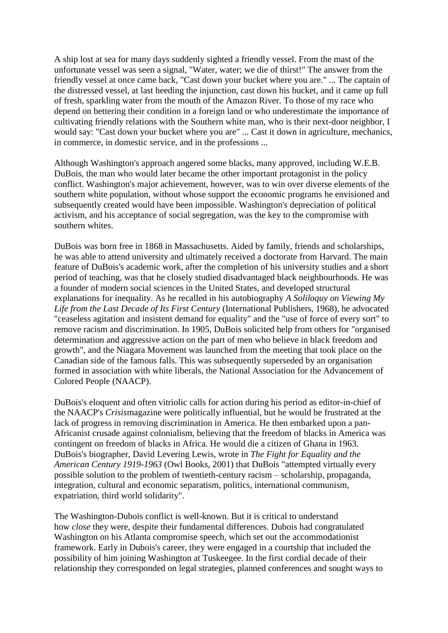A ship lost at sea for many days suddenly sighted a friendly vessel. From the mast of the unfortunate vessel was seen a signal, "Water, water; we die of thirst!" The answer from the friendly vessel at once came back, "Cast down your bucket where you are." ... The captain of the distressed vessel, at last heeding the injunction, cast down his bucket, and it came up full of fresh, sparkling water from the mouth of the Amazon River. To those of my race who depend on bettering their condition in a foreign land or who underestimate the importance of cultivating friendly relations with the Southern white man, who is their next-door neighbor, I would say: "Cast down your bucket where you are" ... Cast it down in agriculture, mechanics, in commerce, in domestic service, and in the professions ...

Although Washington's approach angered some blacks, many approved, including W.E.B. DuBois, the man who would later became the other important protagonist in the policy conflict. Washington's major achievement, however, was to win over diverse elements of the southern white population, without whose support the economic programs he envisioned and subsequently created would have been impossible. Washington's depreciation of political activism, and his acceptance of social segregation, was the key to the compromise with southern whites.

DuBois was born free in 1868 in Massachusetts. Aided by family, friends and scholarships, he was able to attend university and ultimately received a doctorate from Harvard. The main feature of DuBois's academic work, after the completion of his university studies and a short period of teaching, was that he closely studied disadvantaged black neighbourhoods. He was a founder of modern social sciences in the United States, and developed structural explanations for inequality. As he recalled in his autobiography *A Soliloquy on Viewing My Life from the Last Decade of Its First Century* (International Publishers, 1968), he advocated "ceaseless agitation and insistent demand for equality" and the "use of force of every sort" to remove racism and discrimination. In 1905, DuBois solicited help from others for "organised determination and aggressive action on the part of men who believe in black freedom and growth", and the Niagara Movement was launched from the meeting that took place on the Canadian side of the famous falls. This was subsequently superseded by an organisation formed in association with white liberals, the National Association for the Advancement of Colored People (NAACP).

DuBois's eloquent and often vitriolic calls for action during his period as editor-in-chief of the NAACP's *Crisis*magazine were politically influential, but he would be frustrated at the lack of progress in removing discrimination in America. He then embarked upon a pan-Africanist crusade against colonialism, believing that the freedom of blacks in America was contingent on freedom of blacks in Africa. He would die a citizen of Ghana in 1963. DuBois's biographer, David Levering Lewis, wrote in *The Fight for Equality and the American Century 1919-1963* (Owl Books, 2001) that DuBois "attempted virtually every possible solution to the problem of twentieth-century racism – scholarship, propaganda, integration, cultural and economic separatism, politics, international communism, expatriation, third world solidarity".

The Washington-Dubois conflict is well-known. But it is critical to understand how *close* they were, despite their fundamental differences. Dubois had congratulated Washington on his Atlanta compromise speech, which set out the accommodationist framework. Early in Dubois's career, they were engaged in a courtship that included the possibility of him joining Washington at Tuskeegee. In the first cordial decade of their relationship they corresponded on legal strategies, planned conferences and sought ways to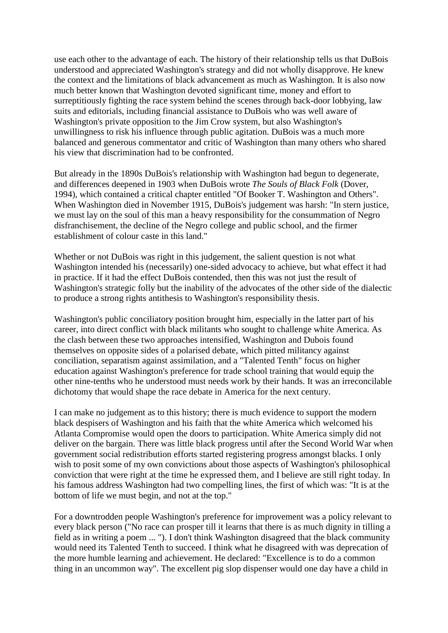use each other to the advantage of each. The history of their relationship tells us that DuBois understood and appreciated Washington's strategy and did not wholly disapprove. He knew the context and the limitations of black advancement as much as Washington. It is also now much better known that Washington devoted significant time, money and effort to surreptitiously fighting the race system behind the scenes through back-door lobbying, law suits and editorials, including financial assistance to DuBois who was well aware of Washington's private opposition to the Jim Crow system, but also Washington's unwillingness to risk his influence through public agitation. DuBois was a much more balanced and generous commentator and critic of Washington than many others who shared his view that discrimination had to be confronted.

But already in the 1890s DuBois's relationship with Washington had begun to degenerate, and differences deepened in 1903 when DuBois wrote *The Souls of Black Folk* (Dover, 1994), which contained a critical chapter entitled "Of Booker T. Washington and Others". When Washington died in November 1915, DuBois's judgement was harsh: "In stern justice, we must lay on the soul of this man a heavy responsibility for the consummation of Negro disfranchisement, the decline of the Negro college and public school, and the firmer establishment of colour caste in this land."

Whether or not DuBois was right in this judgement, the salient question is not what Washington intended his (necessarily) one-sided advocacy to achieve, but what effect it had in practice. If it had the effect DuBois contended, then this was not just the result of Washington's strategic folly but the inability of the advocates of the other side of the dialectic to produce a strong rights antithesis to Washington's responsibility thesis.

Washington's public conciliatory position brought him, especially in the latter part of his career, into direct conflict with black militants who sought to challenge white America. As the clash between these two approaches intensified, Washington and Dubois found themselves on opposite sides of a polarised debate, which pitted militancy against conciliation, separatism against assimilation, and a "Talented Tenth" focus on higher education against Washington's preference for trade school training that would equip the other nine-tenths who he understood must needs work by their hands. It was an irreconcilable dichotomy that would shape the race debate in America for the next century.

I can make no judgement as to this history; there is much evidence to support the modern black despisers of Washington and his faith that the white America which welcomed his Atlanta Compromise would open the doors to participation. White America simply did not deliver on the bargain. There was little black progress until after the Second World War when government social redistribution efforts started registering progress amongst blacks. I only wish to posit some of my own convictions about those aspects of Washington's philosophical conviction that were right at the time he expressed them, and I believe are still right today. In his famous address Washington had two compelling lines, the first of which was: "It is at the bottom of life we must begin, and not at the top."

For a downtrodden people Washington's preference for improvement was a policy relevant to every black person ("No race can prosper till it learns that there is as much dignity in tilling a field as in writing a poem ... "). I don't think Washington disagreed that the black community would need its Talented Tenth to succeed. I think what he disagreed with was deprecation of the more humble learning and achievement. He declared: "Excellence is to do a common thing in an uncommon way". The excellent pig slop dispenser would one day have a child in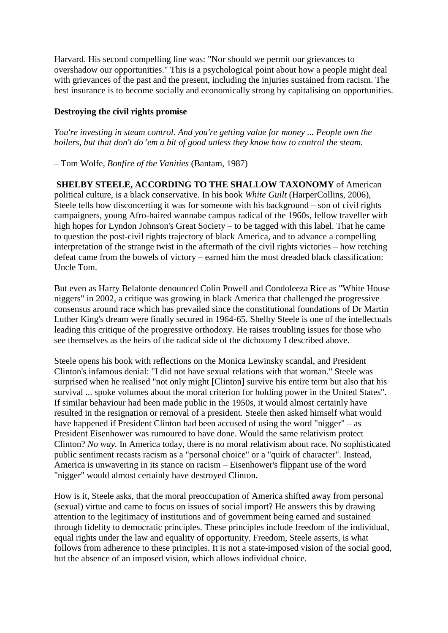Harvard. His second compelling line was: "Nor should we permit our grievances to overshadow our opportunities." This is a psychological point about how a people might deal with grievances of the past and the present, including the injuries sustained from racism. The best insurance is to become socially and economically strong by capitalising on opportunities.

#### **Destroying the civil rights promise**

*You're investing in steam control. And you're getting value for money ... People own the boilers, but that don't do 'em a bit of good unless they know how to control the steam.*

– Tom Wolfe, *Bonfire of the Vanities* (Bantam, 1987)

**SHELBY STEELE, ACCORDING TO THE SHALLOW TAXONOMY** of American political culture, is a black conservative. In his book *White Guilt* (HarperCollins, 2006), Steele tells how disconcerting it was for someone with his background – son of civil rights campaigners, young Afro-haired wannabe campus radical of the 1960s, fellow traveller with high hopes for Lyndon Johnson's Great Society – to be tagged with this label. That he came to question the post-civil rights trajectory of black America, and to advance a compelling interpretation of the strange twist in the aftermath of the civil rights victories – how retching defeat came from the bowels of victory – earned him the most dreaded black classification: Uncle Tom.

But even as Harry Belafonte denounced Colin Powell and Condoleeza Rice as "White House niggers" in 2002, a critique was growing in black America that challenged the progressive consensus around race which has prevailed since the constitutional foundations of Dr Martin Luther King's dream were finally secured in 1964-65. Shelby Steele is one of the intellectuals leading this critique of the progressive orthodoxy. He raises troubling issues for those who see themselves as the heirs of the radical side of the dichotomy I described above.

Steele opens his book with reflections on the Monica Lewinsky scandal, and President Clinton's infamous denial: "I did not have sexual relations with that woman." Steele was surprised when he realised "not only might [Clinton] survive his entire term but also that his survival ... spoke volumes about the moral criterion for holding power in the United States". If similar behaviour had been made public in the 1950s, it would almost certainly have resulted in the resignation or removal of a president. Steele then asked himself what would have happened if President Clinton had been accused of using the word "nigger" – as President Eisenhower was rumoured to have done. Would the same relativism protect Clinton? *No way.* In America today, there is no moral relativism about race. No sophisticated public sentiment recasts racism as a "personal choice" or a "quirk of character". Instead, America is unwavering in its stance on racism – Eisenhower's flippant use of the word "nigger" would almost certainly have destroyed Clinton.

How is it, Steele asks, that the moral preoccupation of America shifted away from personal (sexual) virtue and came to focus on issues of social import? He answers this by drawing attention to the legitimacy of institutions and of government being earned and sustained through fidelity to democratic principles. These principles include freedom of the individual, equal rights under the law and equality of opportunity. Freedom, Steele asserts, is what follows from adherence to these principles. It is not a state-imposed vision of the social good, but the absence of an imposed vision, which allows individual choice.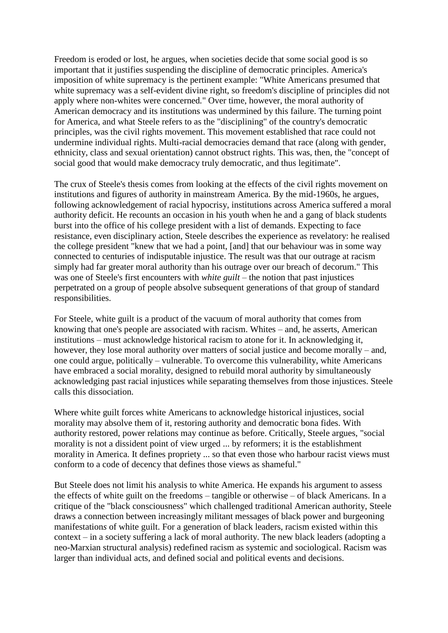Freedom is eroded or lost, he argues, when societies decide that some social good is so important that it justifies suspending the discipline of democratic principles. America's imposition of white supremacy is the pertinent example: "White Americans presumed that white supremacy was a self-evident divine right, so freedom's discipline of principles did not apply where non-whites were concerned*.*" Over time, however, the moral authority of American democracy and its institutions was undermined by this failure. The turning point for America, and what Steele refers to as the "disciplining" of the country's democratic principles, was the civil rights movement. This movement established that race could not undermine individual rights. Multi-racial democracies demand that race (along with gender, ethnicity, class and sexual orientation) cannot obstruct rights. This was, then, the "concept of social good that would make democracy truly democratic, and thus legitimate".

The crux of Steele's thesis comes from looking at the effects of the civil rights movement on institutions and figures of authority in mainstream America. By the mid-1960s, he argues, following acknowledgement of racial hypocrisy, institutions across America suffered a moral authority deficit. He recounts an occasion in his youth when he and a gang of black students burst into the office of his college president with a list of demands. Expecting to face resistance, even disciplinary action, Steele describes the experience as revelatory: he realised the college president "knew that we had a point, [and] that our behaviour was in some way connected to centuries of indisputable injustice. The result was that our outrage at racism simply had far greater moral authority than his outrage over our breach of decorum." This was one of Steele's first encounters with *white guilt* – the notion that past injustices perpetrated on a group of people absolve subsequent generations of that group of standard responsibilities.

For Steele, white guilt is a product of the vacuum of moral authority that comes from knowing that one's people are associated with racism. Whites – and, he asserts, American institutions – must acknowledge historical racism to atone for it. In acknowledging it, however, they lose moral authority over matters of social justice and become morally – and, one could argue, politically – vulnerable. To overcome this vulnerability, white Americans have embraced a social morality, designed to rebuild moral authority by simultaneously acknowledging past racial injustices while separating themselves from those injustices. Steele calls this dissociation.

Where white guilt forces white Americans to acknowledge historical injustices, social morality may absolve them of it, restoring authority and democratic bona fides. With authority restored, power relations may continue as before. Critically, Steele argues, "social morality is not a dissident point of view urged ... by reformers; it is the establishment morality in America. It defines propriety ... so that even those who harbour racist views must conform to a code of decency that defines those views as shameful."

But Steele does not limit his analysis to white America. He expands his argument to assess the effects of white guilt on the freedoms – tangible or otherwise – of black Americans. In a critique of the "black consciousness" which challenged traditional American authority, Steele draws a connection between increasingly militant messages of black power and burgeoning manifestation*s* of white guilt. For a generation of black leaders, racism existed within this context – in a society suffering a lack of moral authority. The new black leaders (adopting a neo-Marxian structural analysis) redefined racism as systemic and sociological. Racism was larger than individual acts, and defined social and political events and decisions.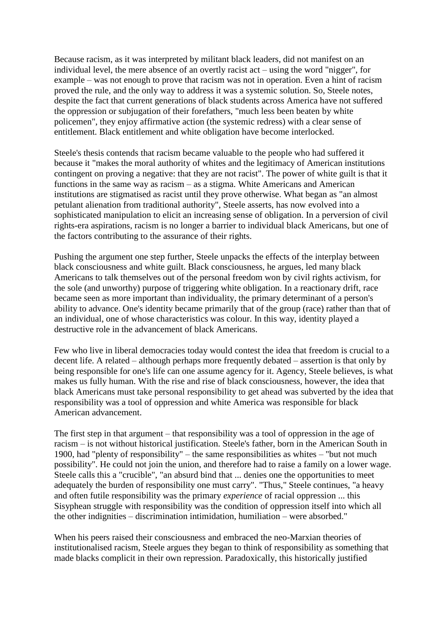Because racism, as it was interpreted by militant black leaders, did not manifest on an individual level, the mere absence of an overtly racist act – using the word "nigger", for example – was not enough to prove that racism was not in operation. Even a hint of racism proved the rule, and the only way to address it was a systemic solution. So, Steele notes, despite the fact that current generations of black students across America have not suffered the oppression or subjugation of their forefathers, "much less been beaten by white policemen", they enjoy affirmative action (the systemic redress) with a clear sense of entitlement. Black entitlement and white obligation have become interlocked.

Steele's thesis contends that racism became valuable to the people who had suffered it because it "makes the moral authority of whites and the legitimacy of American institutions contingent on proving a negative: that they are not racist". The power of white guilt is that it functions in the same way as racism – as a stigma. White Americans and American institutions are stigmatised as racist until they prove otherwise. What began as "an almost petulant alienation from traditional authority", Steele asserts, has now evolved into a sophisticated manipulation to elicit an increasing sense of obligation. In a perversion of civil rights-era aspirations, racism is no longer a barrier to individual black Americans, but one of the factors contributing to the assurance of their rights.

Pushing the argument one step further, Steele unpacks the effects of the interplay between black consciousness and white guilt. Black consciousness, he argues, led many black Americans to talk themselves out of the personal freedom won by civil rights activism, for the sole (and unworthy) purpose of triggering white obligation. In a reactionary drift, race became seen as more important than individuality, the primary determinant of a person's ability to advance. One's identity became primarily that of the group (race) rather than that of an individual, one of whose characteristics was colour. In this way, identity played a destructive role in the advancement of black Americans.

Few who live in liberal democracies today would contest the idea that freedom is crucial to a decent life. A related – although perhaps more frequently debated – assertion is that only by being responsible for one's life can one assume agency for it. Agency, Steele believes, is what makes us fully human. With the rise and rise of black consciousness, however, the idea that black Americans must take personal responsibility to get ahead was subverted by the idea that responsibility was a tool of oppression and white America was responsible for black American advancement.

The first step in that argument – that responsibility was a tool of oppression in the age of racism – is not without historical justification. Steele's father, born in the American South in 1900, had "plenty of responsibility" – the same responsibilities as whites – "but not much possibility". He could not join the union, and therefore had to raise a family on a lower wage. Steele calls this a "crucible", "an absurd bind that ... denies one the opportunities to meet adequately the burden of responsibility one must carry". "Thus," Steele continues, "a heavy and often futile responsibility was the primary *experience* of racial oppression ... this Sisyphean struggle with responsibility was the condition of oppression itself into which all the other indignities – discrimination intimidation, humiliation – were absorbed."

When his peers raised their consciousness and embraced the neo-Marxian theories of institutionalised racism, Steele argues they began to think of responsibility as something that made blacks complicit in their own repression. Paradoxically, this historically justified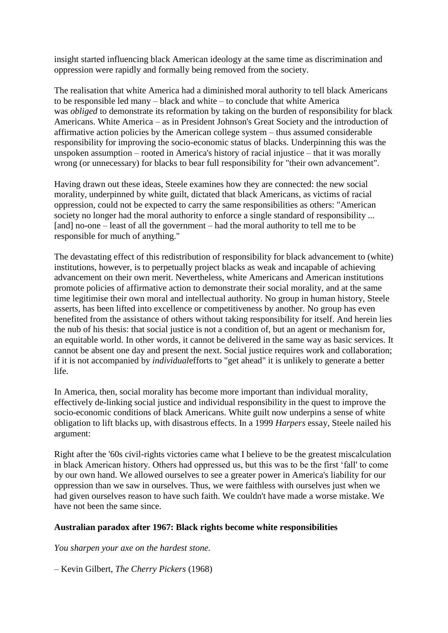insight started influencing black American ideology at the same time as discrimination and oppression were rapidly and formally being removed from the society.

The realisation that white America had a diminished moral authority to tell black Americans to be responsible led many – black and white – to conclude that white America was *obliged* to demonstrate its reformation by taking on the burden of responsibility for black Americans. White America – as in President Johnson's Great Society and the introduction of affirmative action policies by the American college system – thus assumed considerable responsibility for improving the socio-economic status of blacks. Underpinning this was the unspoken assumption – rooted in America's history of racial injustice – that it was morally wrong (or unnecessary) for blacks to bear full responsibility for "their own advancement".

Having drawn out these ideas, Steele examines how they are connected: the new social morality, underpinned by white guilt, dictated that black Americans, as victims of racial oppression, could not be expected to carry the same responsibilities as others: "American society no longer had the moral authority to enforce a single standard of responsibility ... [and] no-one – least of all the government – had the moral authority to tell me to be responsible for much of anything."

The devastating effect of this redistribution of responsibility for black advancement to (white) institutions, however, is to perpetually project blacks as weak and incapable of achieving advancement on their own merit. Nevertheless, white Americans and American institutions promote policies of affirmative action to demonstrate their social morality, and at the same time legitimise their own moral and intellectual authority. No group in human history, Steele asserts, has been lifted into excellence or competitiveness by another. No group has even benefited from the assistance of others without taking responsibility for itself. And herein lies the nub of his thesis: that social justice is not a condition of, but an agent or mechanism for, an equitable world. In other words, it cannot be delivered in the same way as basic services. It cannot be absent one day and present the next. Social justice requires work and collaboration; if it is not accompanied by *individual*efforts to "get ahead" it is unlikely to generate a better life.

In America, then, social morality has become more important than individual morality, effectively de-linking social justice and individual responsibility in the quest to improve the socio-economic conditions of black Americans. White guilt now underpins a sense of white obligation to lift blacks up, with disastrous effects. In a 1999 *Harpers* essay, Steele nailed his argument:

Right after the '60s civil-rights victories came what I believe to be the greatest miscalculation in black American history. Others had oppressed us, but this was to be the first 'fall' to come by our own hand. We allowed ourselves to see a greater power in America's liability for our oppression than we saw in ourselves. Thus, we were faithless with ourselves just when we had given ourselves reason to have such faith. We couldn't have made a worse mistake. We have not been the same since.

#### **Australian paradox after 1967: Black rights become white responsibilities**

*You sharpen your axe on the hardest stone.*

– Kevin Gilbert, *The Cherry Pickers* (1968)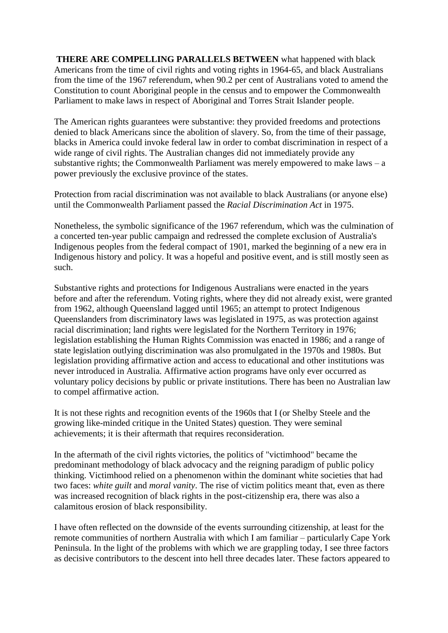**THERE ARE COMPELLING PARALLELS BETWEEN** what happened with black Americans from the time of civil rights and voting rights in 1964-65, and black Australians from the time of the 1967 referendum, when 90.2 per cent of Australians voted to amend the Constitution to count Aboriginal people in the census and to empower the Commonwealth Parliament to make laws in respect of Aboriginal and Torres Strait Islander people.

The American rights guarantees were substantive: they provided freedoms and protections denied to black Americans since the abolition of slavery. So, from the time of their passage, blacks in America could invoke federal law in order to combat discrimination in respect of a wide range of civil rights. The Australian changes did not immediately provide any substantive rights; the Commonwealth Parliament was merely empowered to make laws  $-$  a power previously the exclusive province of the states.

Protection from racial discrimination was not available to black Australians (or anyone else) until the Commonwealth Parliament passed the *Racial Discrimination Act* in 1975.

Nonetheless, the symbolic significance of the 1967 referendum, which was the culmination of a concerted ten-year public campaign and redressed the complete exclusion of Australia's Indigenous peoples from the federal compact of 1901, marked the beginning of a new era in Indigenous history and policy. It was a hopeful and positive event, and is still mostly seen as such.

Substantive rights and protections for Indigenous Australians were enacted in the years before and after the referendum. Voting rights, where they did not already exist, were granted from 1962, although Queensland lagged until 1965; an attempt to protect Indigenous Queenslanders from discriminatory laws was legislated in 1975, as was protection against racial discrimination; land rights were legislated for the Northern Territory in 1976; legislation establishing the Human Rights Commission was enacted in 1986; and a range of state legislation outlying discrimination was also promulgated in the 1970s and 1980s. But legislation providing affirmative action and access to educational and other institutions was never introduced in Australia. Affirmative action programs have only ever occurred as voluntary policy decisions by public or private institutions. There has been no Australian law to compel affirmative action.

It is not these rights and recognition events of the 1960s that I (or Shelby Steele and the growing like-minded critique in the United States) question. They were seminal achievements; it is their aftermath that requires reconsideration.

In the aftermath of the civil rights victories, the politics of "victimhood" became the predominant methodology of black advocacy and the reigning paradigm of public policy thinking. Victimhood relied on a phenomenon within the dominant white societies that had two faces: *white guilt* and *moral vanity*. The rise of victim politics meant that, even as there was increased recognition of black rights in the post-citizenship era, there was also a calamitous erosion of black responsibility.

I have often reflected on the downside of the events surrounding citizenship, at least for the remote communities of northern Australia with which I am familiar – particularly Cape York Peninsula. In the light of the problems with which we are grappling today, I see three factors as decisive contributors to the descent into hell three decades later. These factors appeared to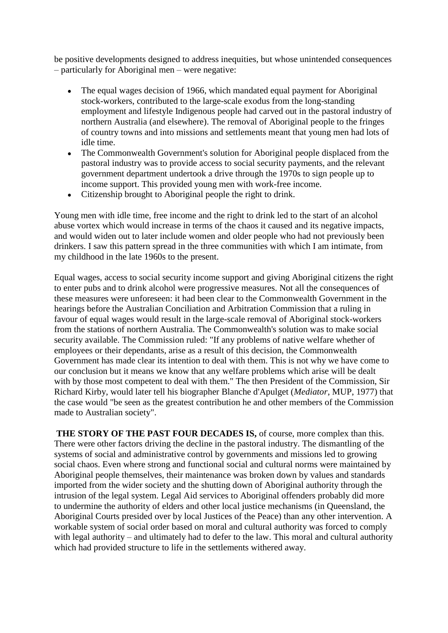be positive developments designed to address inequities, but whose unintended consequences – particularly for Aboriginal men – were negative:

- The equal wages decision of 1966, which mandated equal payment for Aboriginal  $\bullet$ stock-workers, contributed to the large-scale exodus from the long-standing employment and lifestyle Indigenous people had carved out in the pastoral industry of northern Australia (and elsewhere). The removal of Aboriginal people to the fringes of country towns and into missions and settlements meant that young men had lots of idle time.
- The Commonwealth Government's solution for Aboriginal people displaced from the  $\bullet$ pastoral industry was to provide access to social security payments, and the relevant government department undertook a drive through the 1970s to sign people up to income support. This provided young men with work-free income.
- Citizenship brought to Aboriginal people the right to drink.  $\bullet$

Young men with idle time, free income and the right to drink led to the start of an alcohol abuse vortex which would increase in terms of the chaos it caused and its negative impacts, and would widen out to later include women and older people who had not previously been drinkers. I saw this pattern spread in the three communities with which I am intimate, from my childhood in the late 1960s to the present.

Equal wages, access to social security income support and giving Aboriginal citizens the right to enter pubs and to drink alcohol were progressive measures. Not all the consequences of these measures were unforeseen: it had been clear to the Commonwealth Government in the hearings before the Australian Conciliation and Arbitration Commission that a ruling in favour of equal wages would result in the large-scale removal of Aboriginal stock-workers from the stations of northern Australia. The Commonwealth's solution was to make social security available. The Commission ruled: "If any problems of native welfare whether of employees or their dependants, arise as a result of this decision, the Commonwealth Government has made clear its intention to deal with them. This is not why we have come to our conclusion but it means we know that any welfare problems which arise will be dealt with by those most competent to deal with them." The then President of the Commission, Sir Richard Kirby, would later tell his biographer Blanche d'Apulget (*Mediator*, MUP, 1977) that the case would "be seen as the greatest contribution he and other members of the Commission made to Australian society".

**THE STORY OF THE PAST FOUR DECADES IS,** of course, more complex than this. There were other factors driving the decline in the pastoral industry. The dismantling of the systems of social and administrative control by governments and missions led to growing social chaos. Even where strong and functional social and cultural norms were maintained by Aboriginal people themselves, their maintenance was broken down by values and standards imported from the wider society and the shutting down of Aboriginal authority through the intrusion of the legal system. Legal Aid services to Aboriginal offenders probably did more to undermine the authority of elders and other local justice mechanisms (in Queensland, the Aboriginal Courts presided over by local Justices of the Peace) than any other intervention. A workable system of social order based on moral and cultural authority was forced to comply with legal authority – and ultimately had to defer to the law. This moral and cultural authority which had provided structure to life in the settlements withered away.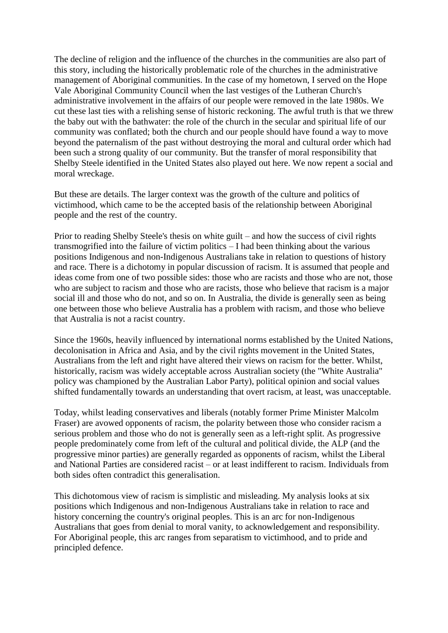The decline of religion and the influence of the churches in the communities are also part of this story, including the historically problematic role of the churches in the administrative management of Aboriginal communities. In the case of my hometown, I served on the Hope Vale Aboriginal Community Council when the last vestiges of the Lutheran Church's administrative involvement in the affairs of our people were removed in the late 1980s. We cut these last ties with a relishing sense of historic reckoning. The awful truth is that we threw the baby out with the bathwater: the role of the church in the secular and spiritual life of our community was conflated; both the church and our people should have found a way to move beyond the paternalism of the past without destroying the moral and cultural order which had been such a strong quality of our community. But the transfer of moral responsibility that Shelby Steele identified in the United States also played out here. We now repent a social and moral wreckage.

But these are details. The larger context was the growth of the culture and politics of victimhood, which came to be the accepted basis of the relationship between Aboriginal people and the rest of the country.

Prior to reading Shelby Steele's thesis on white guilt – and how the success of civil rights transmogrified into the failure of victim politics – I had been thinking about the various positions Indigenous and non-Indigenous Australians take in relation to questions of history and race. There is a dichotomy in popular discussion of racism. It is assumed that people and ideas come from one of two possible sides: those who are racists and those who are not, those who are subject to racism and those who are racists, those who believe that racism is a major social ill and those who do not, and so on. In Australia, the divide is generally seen as being one between those who believe Australia has a problem with racism, and those who believe that Australia is not a racist country.

Since the 1960s, heavily influenced by international norms established by the United Nations, decolonisation in Africa and Asia, and by the civil rights movement in the United States, Australians from the left and right have altered their views on racism for the better. Whilst, historically, racism was widely acceptable across Australian society (the "White Australia" policy was championed by the Australian Labor Party), political opinion and social values shifted fundamentally towards an understanding that overt racism, at least, was unacceptable.

Today, whilst leading conservatives and liberals (notably former Prime Minister Malcolm Fraser) are avowed opponents of racism, the polarity between those who consider racism a serious problem and those who do not is generally seen as a left-right split. As progressive people predominately come from left of the cultural and political divide, the ALP (and the progressive minor parties) are generally regarded as opponents of racism, whilst the Liberal and National Parties are considered racist – or at least indifferent to racism. Individuals from both sides often contradict this generalisation.

This dichotomous view of racism is simplistic and misleading. My analysis looks at six positions which Indigenous and non-Indigenous Australians take in relation to race and history concerning the country's original peoples. This is an arc for non-Indigenous Australians that goes from denial to moral vanity, to acknowledgement and responsibility. For Aboriginal people, this arc ranges from separatism to victimhood, and to pride and principled defence.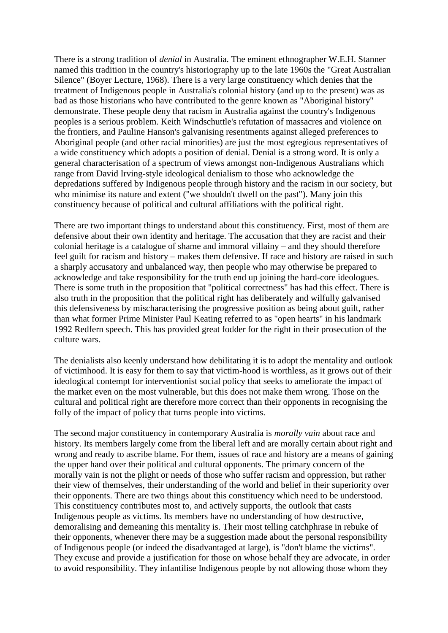There is a strong tradition of *denial* in Australia. The eminent ethnographer W.E.H. Stanner named this tradition in the country's historiography up to the late 1960s the "Great Australian Silence" (Boyer Lecture, 1968). There is a very large constituency which denies that the treatment of Indigenous people in Australia's colonial history (and up to the present) was as bad as those historians who have contributed to the genre known as "Aboriginal history" demonstrate. These people deny that racism in Australia against the country's Indigenous peoples is a serious problem. Keith Windschuttle's refutation of massacres and violence on the frontiers, and Pauline Hanson's galvanising resentments against alleged preferences to Aboriginal people (and other racial minorities) are just the most egregious representatives of a wide constituency which adopts a position of denial. Denial is a strong word. It is only a general characterisation of a spectrum of views amongst non-Indigenous Australians which range from David Irving-style ideological denialism to those who acknowledge the depredations suffered by Indigenous people through history and the racism in our society, but who minimise its nature and extent ("we shouldn't dwell on the past"). Many join this constituency because of political and cultural affiliations with the political right.

There are two important things to understand about this constituency. First, most of them are defensive about their own identity and heritage. The accusation that they are racist and their colonial heritage is a catalogue of shame and immoral villainy – and they should therefore feel guilt for racism and history – makes them defensive. If race and history are raised in such a sharply accusatory and unbalanced way, then people who may otherwise be prepared to acknowledge and take responsibility for the truth end up joining the hard-core ideologues. There is some truth in the proposition that "political correctness" has had this effect. There is also truth in the proposition that the political right has deliberately and wilfully galvanised this defensiveness by mischaracterising the progressive position as being about guilt, rather than what former Prime Minister Paul Keating referred to as "open hearts" in his landmark 1992 Redfern speech. This has provided great fodder for the right in their prosecution of the culture wars.

The denialists also keenly understand how debilitating it is to adopt the mentality and outlook of victimhood. It is easy for them to say that victim-hood is worthless, as it grows out of their ideological contempt for interventionist social policy that seeks to ameliorate the impact of the market even on the most vulnerable, but this does not make them wrong. Those on the cultural and political right are therefore more correct than their opponents in recognising the folly of the impact of policy that turns people into victims.

The second major constituency in contemporary Australia is *morally vain* about race and history. Its members largely come from the liberal left and are morally certain about right and wrong and ready to ascribe blame. For them, issues of race and history are a means of gaining the upper hand over their political and cultural opponents. The primary concern of the morally vain is not the plight or needs of those who suffer racism and oppression, but rather their view of themselves, their understanding of the world and belief in their superiority over their opponents. There are two things about this constituency which need to be understood. This constituency contributes most to, and actively supports, the outlook that casts Indigenous people as victims. Its members have no understanding of how destructive, demoralising and demeaning this mentality is. Their most telling catchphrase in rebuke of their opponents, whenever there may be a suggestion made about the personal responsibility of Indigenous people (or indeed the disadvantaged at large), is "don't blame the victims". They excuse and provide a justification for those on whose behalf they are advocate, in order to avoid responsibility. They infantilise Indigenous people by not allowing those whom they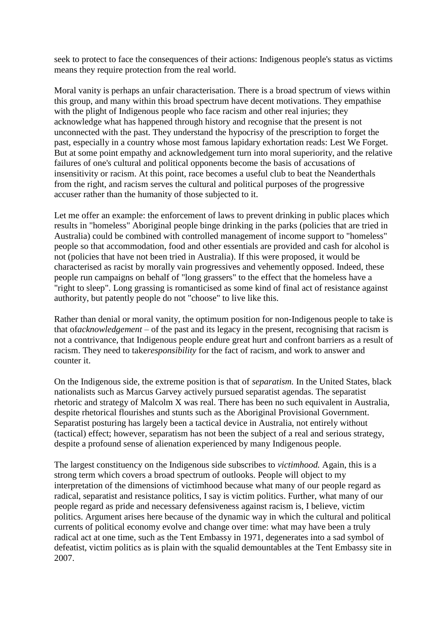seek to protect to face the consequences of their actions: Indigenous people's status as victims means they require protection from the real world.

Moral vanity is perhaps an unfair characterisation. There is a broad spectrum of views within this group, and many within this broad spectrum have decent motivations. They empathise with the plight of Indigenous people who face racism and other real injuries; they acknowledge what has happened through history and recognise that the present is not unconnected with the past. They understand the hypocrisy of the prescription to forget the past, especially in a country whose most famous lapidary exhortation reads: Lest We Forget. But at some point empathy and acknowledgement turn into moral superiority, and the relative failures of one's cultural and political opponents become the basis of accusations of insensitivity or racism. At this point, race becomes a useful club to beat the Neanderthals from the right, and racism serves the cultural and political purposes of the progressive accuser rather than the humanity of those subjected to it.

Let me offer an example: the enforcement of laws to prevent drinking in public places which results in "homeless" Aboriginal people binge drinking in the parks (policies that are tried in Australia) could be combined with controlled management of income support to "homeless" people so that accommodation, food and other essentials are provided and cash for alcohol is not (policies that have not been tried in Australia). If this were proposed, it would be characterised as racist by morally vain progressives and vehemently opposed. Indeed, these people run campaigns on behalf of "long grassers" to the effect that the homeless have a "right to sleep". Long grassing is romanticised as some kind of final act of resistance against authority, but patently people do not "choose" to live like this.

Rather than denial or moral vanity, the optimum position for non-Indigenous people to take is that of*acknowledgement* – of the past and its legacy in the present, recognising that racism is not a contrivance, that Indigenous people endure great hurt and confront barriers as a result of racism. They need to take*responsibility* for the fact of racism, and work to answer and counter it.

On the Indigenous side, the extreme position is that of *separatism.* In the United States, black nationalists such as Marcus Garvey actively pursued separatist agendas. The separatist rhetoric and strategy of Malcolm X was real. There has been no such equivalent in Australia, despite rhetorical flourishes and stunts such as the Aboriginal Provisional Government. Separatist posturing has largely been a tactical device in Australia, not entirely without (tactical) effect; however, separatism has not been the subject of a real and serious strategy, despite a profound sense of alienation experienced by many Indigenous people.

The largest constituency on the Indigenous side subscribes to *victimhood.* Again, this is a strong term which covers a broad spectrum of outlooks. People will object to my interpretation of the dimensions of victimhood because what many of our people regard as radical, separatist and resistance politics, I say is victim politics. Further, what many of our people regard as pride and necessary defensiveness against racism is, I believe, victim politics. Argument arises here because of the dynamic way in which the cultural and political currents of political economy evolve and change over time: what may have been a truly radical act at one time, such as the Tent Embassy in 1971, degenerates into a sad symbol of defeatist, victim politics as is plain with the squalid demountables at the Tent Embassy site in 2007.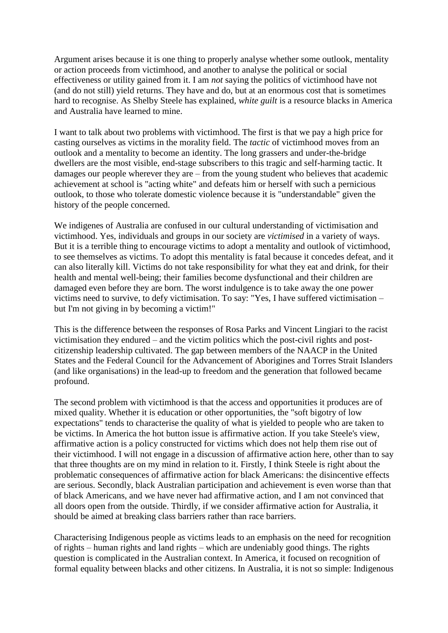Argument arises because it is one thing to properly analyse whether some outlook, mentality or action proceeds from victimhood, and another to analyse the political or social effectiveness or utility gained from it. I am *not* saying the politics of victimhood have not (and do not still) yield returns. They have and do, but at an enormous cost that is sometimes hard to recognise. As Shelby Steele has explained, *white guilt* is a resource blacks in America and Australia have learned to mine.

I want to talk about two problems with victimhood. The first is that we pay a high price for casting ourselves as victims in the morality field. The *tactic* of victimhood moves from an outlook and a mentality to become an identity. The long grassers and under-the-bridge dwellers are the most visible, end-stage subscribers to this tragic and self-harming tactic. It damages our people wherever they are – from the young student who believes that academic achievement at school is "acting white" and defeats him or herself with such a pernicious outlook, to those who tolerate domestic violence because it is "understandable" given the history of the people concerned.

We indigenes of Australia are confused in our cultural understanding of victimisation and victimhood. Yes, individuals and groups in our society are *victimised* in a variety of ways. But it is a terrible thing to encourage victims to adopt a mentality and outlook of victimhood, to see themselves as victims. To adopt this mentality is fatal because it concedes defeat, and it can also literally kill. Victims do not take responsibility for what they eat and drink, for their health and mental well-being; their families become dysfunctional and their children are damaged even before they are born. The worst indulgence is to take away the one power victims need to survive, to defy victimisation. To say: "Yes, I have suffered victimisation – but I'm not giving in by becoming a victim!"

This is the difference between the responses of Rosa Parks and Vincent Lingiari to the racist victimisation they endured – and the victim politics which the post-civil rights and postcitizenship leadership cultivated. The gap between members of the NAACP in the United States and the Federal Council for the Advancement of Aborigines and Torres Strait Islanders (and like organisations) in the lead-up to freedom and the generation that followed became profound.

The second problem with victimhood is that the access and opportunities it produces are of mixed quality. Whether it is education or other opportunities, the "soft bigotry of low expectations" tends to characterise the quality of what is yielded to people who are taken to be victims. In America the hot button issue is affirmative action. If you take Steele's view, affirmative action is a policy constructed for victims which does not help them rise out of their victimhood. I will not engage in a discussion of affirmative action here, other than to say that three thoughts are on my mind in relation to it. Firstly, I think Steele is right about the problematic consequences of affirmative action for black Americans: the disincentive effects are serious. Secondly, black Australian participation and achievement is even worse than that of black Americans, and we have never had affirmative action, and I am not convinced that all doors open from the outside. Thirdly, if we consider affirmative action for Australia, it should be aimed at breaking class barriers rather than race barriers.

Characterising Indigenous people as victims leads to an emphasis on the need for recognition of rights – human rights and land rights – which are undeniably good things. The rights question is complicated in the Australian context. In America, it focused on recognition of formal equality between blacks and other citizens. In Australia, it is not so simple: Indigenous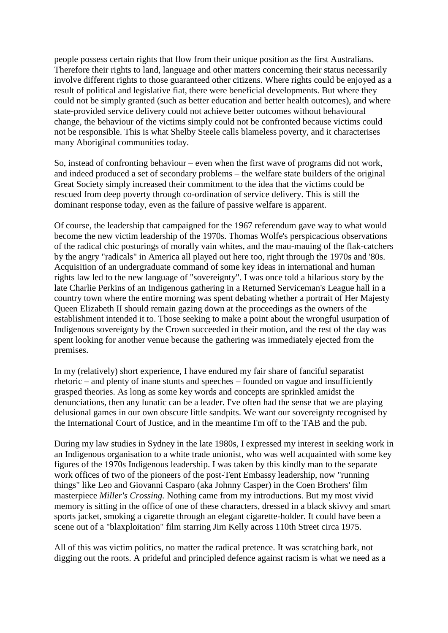people possess certain rights that flow from their unique position as the first Australians. Therefore their rights to land, language and other matters concerning their status necessarily involve different rights to those guaranteed other citizens. Where rights could be enjoyed as a result of political and legislative fiat, there were beneficial developments. But where they could not be simply granted (such as better education and better health outcomes), and where state-provided service delivery could not achieve better outcomes without behavioural change, the behaviour of the victims simply could not be confronted because victims could not be responsible. This is what Shelby Steele calls blameless poverty, and it characterises many Aboriginal communities today.

So, instead of confronting behaviour – even when the first wave of programs did not work, and indeed produced a set of secondary problems – the welfare state builders of the original Great Society simply increased their commitment to the idea that the victims could be rescued from deep poverty through co-ordination of service delivery. This is still the dominant response today, even as the failure of passive welfare is apparent.

Of course, the leadership that campaigned for the 1967 referendum gave way to what would become the new victim leadership of the 1970s. Thomas Wolfe's perspicacious observations of the radical chic posturings of morally vain whites, and the mau-mauing of the flak-catchers by the angry "radicals" in America all played out here too, right through the 1970s and '80s. Acquisition of an undergraduate command of some key ideas in international and human rights law led to the new language of "sovereignty". I was once told a hilarious story by the late Charlie Perkins of an Indigenous gathering in a Returned Serviceman's League hall in a country town where the entire morning was spent debating whether a portrait of Her Majesty Queen Elizabeth II should remain gazing down at the proceedings as the owners of the establishment intended it to. Those seeking to make a point about the wrongful usurpation of Indigenous sovereignty by the Crown succeeded in their motion, and the rest of the day was spent looking for another venue because the gathering was immediately ejected from the premises.

In my (relatively) short experience, I have endured my fair share of fanciful separatist rhetoric – and plenty of inane stunts and speeches – founded on vague and insufficiently grasped theories. As long as some key words and concepts are sprinkled amidst the denunciations, then any lunatic can be a leader. I've often had the sense that we are playing delusional games in our own obscure little sandpits. We want our sovereignty recognised by the International Court of Justice, and in the meantime I'm off to the TAB and the pub.

During my law studies in Sydney in the late 1980s, I expressed my interest in seeking work in an Indigenous organisation to a white trade unionist, who was well acquainted with some key figures of the 1970s Indigenous leadership. I was taken by this kindly man to the separate work offices of two of the pioneers of the post-Tent Embassy leadership, now "running things" like Leo and Giovanni Casparo (aka Johnny Casper) in the Coen Brothers' film masterpiece *Miller's Crossing.* Nothing came from my introductions. But my most vivid memory is sitting in the office of one of these characters, dressed in a black skivvy and smart sports jacket, smoking a cigarette through an elegant cigarette-holder. It could have been a scene out of a "blaxploitation" film starring Jim Kelly across 110th Street circa 1975.

All of this was victim politics, no matter the radical pretence. It was scratching bark, not digging out the roots. A prideful and principled defence against racism is what we need as a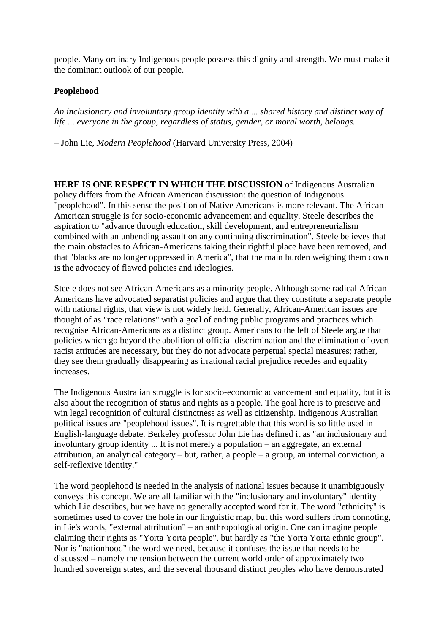people. Many ordinary Indigenous people possess this dignity and strength. We must make it the dominant outlook of our people.

#### **Peoplehood**

*An inclusionary and involuntary group identity with a ... shared history and distinct way of life ... everyone in the group, regardless of status, gender, or moral worth, belongs.*

– John Lie, *Modern Peoplehood* (Harvard University Press, 2004)

**HERE IS ONE RESPECT IN WHICH THE DISCUSSION** of Indigenous Australian policy differs from the African American discussion: the question of Indigenous "peoplehood". In this sense the position of Native Americans is more relevant. The African-American struggle is for socio-economic advancement and equality. Steele describes the aspiration to "advance through education, skill development, and entrepreneurialism combined with an unbending assault on any continuing discrimination". Steele believes that the main obstacles to African-Americans taking their rightful place have been removed, and that "blacks are no longer oppressed in America", that the main burden weighing them down is the advocacy of flawed policies and ideologies.

Steele does not see African-Americans as a minority people. Although some radical African-Americans have advocated separatist policies and argue that they constitute a separate people with national rights, that view is not widely held. Generally, African-American issues are thought of as "race relations" with a goal of ending public programs and practices which recognise African-Americans as a distinct group. Americans to the left of Steele argue that policies which go beyond the abolition of official discrimination and the elimination of overt racist attitudes are necessary, but they do not advocate perpetual special measures; rather, they see them gradually disappearing as irrational racial prejudice recedes and equality increases.

The Indigenous Australian struggle is for socio-economic advancement and equality, but it is also about the recognition of status and rights as a people. The goal here is to preserve and win legal recognition of cultural distinctness as well as citizenship. Indigenous Australian political issues are "peoplehood issues". It is regrettable that this word is so little used in English-language debate. Berkeley professor John Lie has defined it as "an inclusionary and involuntary group identity ... It is not merely a population – an aggregate, an external attribution, an analytical category – but, rather, a people – a group, an internal conviction, a self-reflexive identity."

The word peoplehood is needed in the analysis of national issues because it unambiguously conveys this concept. We are all familiar with the "inclusionary and involuntary" identity which Lie describes, but we have no generally accepted word for it. The word "ethnicity" is sometimes used to cover the hole in our linguistic map, but this word suffers from connoting, in Lie's words, "external attribution" – an anthropological origin. One can imagine people claiming their rights as "Yorta Yorta people", but hardly as "the Yorta Yorta ethnic group". Nor is "nationhood" the word we need, because it confuses the issue that needs to be discussed – namely the tension between the current world order of approximately two hundred sovereign states, and the several thousand distinct peoples who have demonstrated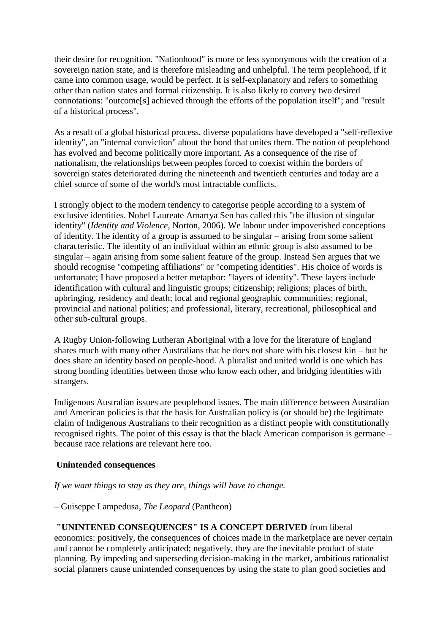their desire for recognition. "Nationhood" is more or less synonymous with the creation of a sovereign nation state, and is therefore misleading and unhelpful. The term peoplehood, if it came into common usage, would be perfect. It is self-explanatory and refers to something other than nation states and formal citizenship. It is also likely to convey two desired connotations: "outcome[s] achieved through the efforts of the population itself"; and "result of a historical process".

As a result of a global historical process, diverse populations have developed a "self-reflexive identity", an "internal conviction" about the bond that unites them. The notion of peoplehood has evolved and become politically more important. As a consequence of the rise of nationalism, the relationships between peoples forced to coexist within the borders of sovereign states deteriorated during the nineteenth and twentieth centuries and today are a chief source of some of the world's most intractable conflicts.

I strongly object to the modern tendency to categorise people according to a system of exclusive identities. Nobel Laureate Amartya Sen has called this "the illusion of singular identity" (*Identity and Violence*, Norton, 2006). We labour under impoverished conceptions of identity. The identity of a group is assumed to be singular – arising from some salient characteristic. The identity of an individual within an ethnic group is also assumed to be singular – again arising from some salient feature of the group. Instead Sen argues that we should recognise "competing affiliations" or "competing identities". His choice of words is unfortunate; I have proposed a better metaphor: "layers of identity". These layers include identification with cultural and linguistic groups; citizenship; religions; places of birth, upbringing, residency and death; local and regional geographic communities; regional, provincial and national polities; and professional, literary, recreational, philosophical and other sub-cultural groups.

A Rugby Union-following Lutheran Aboriginal with a love for the literature of England shares much with many other Australians that he does not share with his closest kin – but he does share an identity based on people-hood. A pluralist and united world is one which has strong bonding identities between those who know each other, and bridging identities with strangers.

Indigenous Australian issues are peoplehood issues. The main difference between Australian and American policies is that the basis for Australian policy is (or should be) the legitimate claim of Indigenous Australians to their recognition as a distinct people with constitutionally recognised rights. The point of this essay is that the black American comparison is germane – because race relations are relevant here too.

#### **Unintended consequences**

#### *If we want things to stay as they are, things will have to change.*

#### – Guiseppe Lampedusa, *The Leopard* (Pantheon)

# **"UNINTENED CONSEQUENCES" IS A CONCEPT DERIVED** from liberal

economics: positively, the consequences of choices made in the marketplace are never certain and cannot be completely anticipated; negatively, they are the inevitable product of state planning. By impeding and superseding decision-making in the market, ambitious rationalist social planners cause unintended consequences by using the state to plan good societies and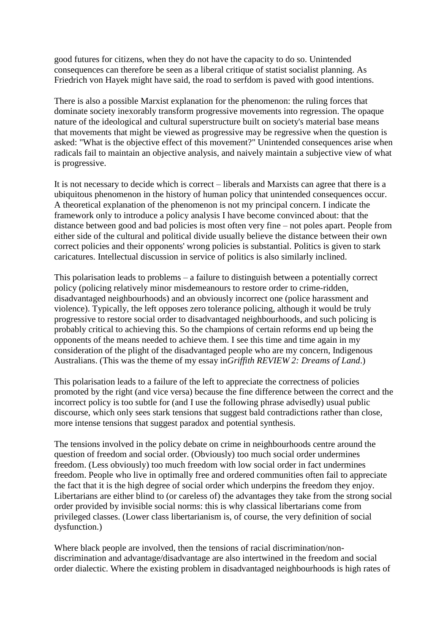good futures for citizens, when they do not have the capacity to do so. Unintended consequences can therefore be seen as a liberal critique of statist socialist planning. As Friedrich von Hayek might have said, the road to serfdom is paved with good intentions.

There is also a possible Marxist explanation for the phenomenon: the ruling forces that dominate society inexorably transform progressive movements into regression. The opaque nature of the ideological and cultural superstructure built on society's material base means that movements that might be viewed as progressive may be regressive when the question is asked: "What is the objective effect of this movement?" Unintended consequences arise when radicals fail to maintain an objective analysis, and naively maintain a subjective view of what is progressive.

It is not necessary to decide which is correct – liberals and Marxists can agree that there is a ubiquitous phenomenon in the history of human policy that unintended consequences occur. A theoretical explanation of the phenomenon is not my principal concern. I indicate the framework only to introduce a policy analysis I have become convinced about: that the distance between good and bad policies is most often very fine – not poles apart. People from either side of the cultural and political divide usually believe the distance between their own correct policies and their opponents' wrong policies is substantial. Politics is given to stark caricatures. Intellectual discussion in service of politics is also similarly inclined.

This polarisation leads to problems – a failure to distinguish between a potentially correct policy (policing relatively minor misdemeanours to restore order to crime-ridden, disadvantaged neighbourhoods) and an obviously incorrect one (police harassment and violence). Typically, the left opposes zero tolerance policing, although it would be truly progressive to restore social order to disadvantaged neighbourhoods, and such policing is probably critical to achieving this. So the champions of certain reforms end up being the opponents of the means needed to achieve them. I see this time and time again in my consideration of the plight of the disadvantaged people who are my concern, Indigenous Australians. (This was the theme of my essay in*Griffith REVIEW 2: Dreams of Land*.)

This polarisation leads to a failure of the left to appreciate the correctness of policies promoted by the right (and vice versa) because the fine difference between the correct and the incorrect policy is too subtle for (and I use the following phrase advisedly) usual public discourse, which only sees stark tensions that suggest bald contradictions rather than close, more intense tensions that suggest paradox and potential synthesis.

The tensions involved in the policy debate on crime in neighbourhoods centre around the question of freedom and social order. (Obviously) too much social order undermines freedom. (Less obviously) too much freedom with low social order in fact undermines freedom. People who live in optimally free and ordered communities often fail to appreciate the fact that it is the high degree of social order which underpins the freedom they enjoy. Libertarians are either blind to (or careless of) the advantages they take from the strong social order provided by invisible social norms: this is why classical libertarians come from privileged classes. (Lower class libertarianism is, of course, the very definition of social dysfunction.)

Where black people are involved, then the tensions of racial discrimination/nondiscrimination and advantage/disadvantage are also intertwined in the freedom and social order dialectic. Where the existing problem in disadvantaged neighbourhoods is high rates of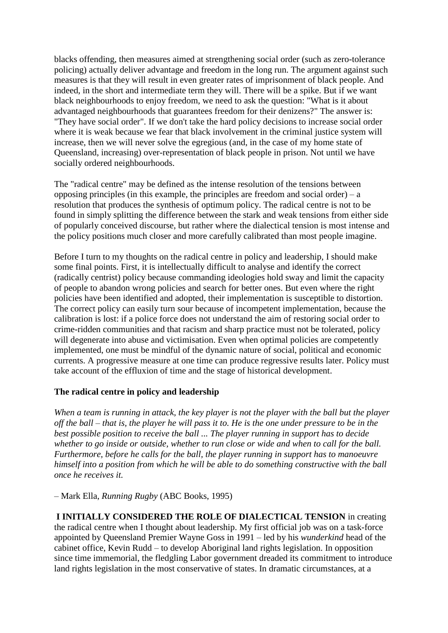blacks offending, then measures aimed at strengthening social order (such as zero-tolerance policing) actually deliver advantage and freedom in the long run. The argument against such measures is that they will result in even greater rates of imprisonment of black people. And indeed, in the short and intermediate term they will. There will be a spike. But if we want black neighbourhoods to enjoy freedom, we need to ask the question: "What is it about advantaged neighbourhoods that guarantees freedom for their denizens?" The answer is: "They have social order". If we don't take the hard policy decisions to increase social order where it is weak because we fear that black involvement in the criminal justice system will increase, then we will never solve the egregious (and, in the case of my home state of Queensland, increasing) over-representation of black people in prison. Not until we have socially ordered neighbourhoods.

The "radical centre" may be defined as the intense resolution of the tensions between opposing principles (in this example, the principles are freedom and social order) –  $a$ resolution that produces the synthesis of optimum policy. The radical centre is not to be found in simply splitting the difference between the stark and weak tensions from either side of popularly conceived discourse, but rather where the dialectical tension is most intense and the policy positions much closer and more carefully calibrated than most people imagine.

Before I turn to my thoughts on the radical centre in policy and leadership, I should make some final points. First, it is intellectually difficult to analyse and identify the correct (radically centrist) policy because commanding ideologies hold sway and limit the capacity of people to abandon wrong policies and search for better ones. But even where the right policies have been identified and adopted, their implementation is susceptible to distortion. The correct policy can easily turn sour because of incompetent implementation, because the calibration is lost: if a police force does not understand the aim of restoring social order to crime-ridden communities and that racism and sharp practice must not be tolerated, policy will degenerate into abuse and victimisation. Even when optimal policies are competently implemented, one must be mindful of the dynamic nature of social, political and economic currents. A progressive measure at one time can produce regressive results later. Policy must take account of the effluxion of time and the stage of historical development.

#### **The radical centre in policy and leadership**

*When a team is running in attack, the key player is not the player with the ball but the player off the ball – that is, the player he will pass it to. He is the one under pressure to be in the best possible position to receive the ball ... The player running in support has to decide whether to go inside or outside, whether to run close or wide and when to call for the ball. Furthermore, before he calls for the ball, the player running in support has to manoeuvre himself into a position from which he will be able to do something constructive with the ball once he receives it.*

– Mark Ella, *Running Rugby* (ABC Books, 1995)

**I INITIALLY CONSIDERED THE ROLE OF DIALECTICAL TENSION** in creating the radical centre when I thought about leadership. My first official job was on a task-force appointed by Queensland Premier Wayne Goss in 1991 – led by his *wunderkind* head of the cabinet office, Kevin Rudd – to develop Aboriginal land rights legislation. In opposition since time immemorial, the fledgling Labor government dreaded its commitment to introduce land rights legislation in the most conservative of states. In dramatic circumstances, at a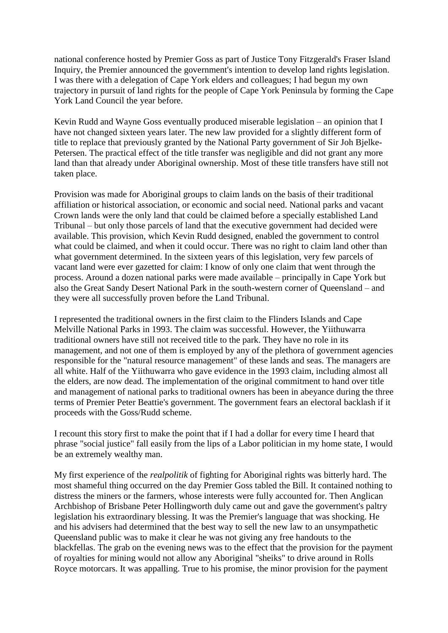national conference hosted by Premier Goss as part of Justice Tony Fitzgerald's Fraser Island Inquiry, the Premier announced the government's intention to develop land rights legislation. I was there with a delegation of Cape York elders and colleagues; I had begun my own trajectory in pursuit of land rights for the people of Cape York Peninsula by forming the Cape York Land Council the year before.

Kevin Rudd and Wayne Goss eventually produced miserable legislation – an opinion that I have not changed sixteen years later. The new law provided for a slightly different form of title to replace that previously granted by the National Party government of Sir Joh Bjelke-Petersen. The practical effect of the title transfer was negligible and did not grant any more land than that already under Aboriginal ownership. Most of these title transfers have still not taken place.

Provision was made for Aboriginal groups to claim lands on the basis of their traditional affiliation or historical association, or economic and social need. National parks and vacant Crown lands were the only land that could be claimed before a specially established Land Tribunal – but only those parcels of land that the executive government had decided were available. This provision, which Kevin Rudd designed, enabled the government to control what could be claimed, and when it could occur. There was no right to claim land other than what government determined. In the sixteen years of this legislation, very few parcels of vacant land were ever gazetted for claim: I know of only one claim that went through the process. Around a dozen national parks were made available – principally in Cape York but also the Great Sandy Desert National Park in the south-western corner of Queensland – and they were all successfully proven before the Land Tribunal.

I represented the traditional owners in the first claim to the Flinders Islands and Cape Melville National Parks in 1993. The claim was successful. However, the Yiithuwarra traditional owners have still not received title to the park. They have no role in its management, and not one of them is employed by any of the plethora of government agencies responsible for the "natural resource management" of these lands and seas. The managers are all white. Half of the Yiithuwarra who gave evidence in the 1993 claim, including almost all the elders, are now dead. The implementation of the original commitment to hand over title and management of national parks to traditional owners has been in abeyance during the three terms of Premier Peter Beattie's government. The government fears an electoral backlash if it proceeds with the Goss/Rudd scheme.

I recount this story first to make the point that if I had a dollar for every time I heard that phrase "social justice" fall easily from the lips of a Labor politician in my home state, I would be an extremely wealthy man.

My first experience of the *realpolitik* of fighting for Aboriginal rights was bitterly hard. The most shameful thing occurred on the day Premier Goss tabled the Bill. It contained nothing to distress the miners or the farmers, whose interests were fully accounted for. Then Anglican Archbishop of Brisbane Peter Hollingworth duly came out and gave the government's paltry legislation his extraordinary blessing. It was the Premier's language that was shocking. He and his advisers had determined that the best way to sell the new law to an unsympathetic Queensland public was to make it clear he was not giving any free handouts to the blackfellas. The grab on the evening news was to the effect that the provision for the payment of royalties for mining would not allow any Aboriginal "sheiks" to drive around in Rolls Royce motorcars. It was appalling. True to his promise, the minor provision for the payment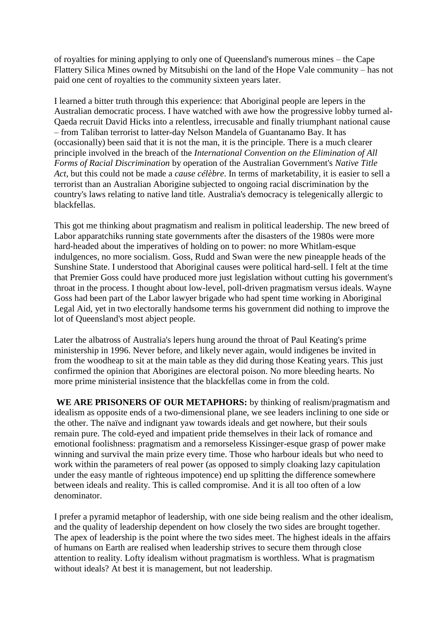of royalties for mining applying to only one of Queensland's numerous mines – the Cape Flattery Silica Mines owned by Mitsubishi on the land of the Hope Vale community – has not paid one cent of royalties to the community sixteen years later.

I learned a bitter truth through this experience: that Aboriginal people are lepers in the Australian democratic process. I have watched with awe how the progressive lobby turned al-Qaeda recruit David Hicks into a relentless, irrecusable and finally triumphant national cause – from Taliban terrorist to latter-day Nelson Mandela of Guantanamo Bay. It has (occasionally) been said that it is not the man, it is the principle. There is a much clearer principle involved in the breach of the *International Convention on the Elimination of All Forms of Racial Discrimination* by operation of the Australian Government's *Native Title Act*, but this could not be made a *cause célèbre*. In terms of marketability, it is easier to sell a terrorist than an Australian Aborigine subjected to ongoing racial discrimination by the country's laws relating to native land title. Australia's democracy is telegenically allergic to blackfellas.

This got me thinking about pragmatism and realism in political leadership. The new breed of Labor apparatchiks running state governments after the disasters of the 1980s were more hard-headed about the imperatives of holding on to power: no more Whitlam-esque indulgences, no more socialism. Goss, Rudd and Swan were the new pineapple heads of the Sunshine State. I understood that Aboriginal causes were political hard-sell. I felt at the time that Premier Goss could have produced more just legislation without cutting his government's throat in the process. I thought about low-level, poll-driven pragmatism versus ideals. Wayne Goss had been part of the Labor lawyer brigade who had spent time working in Aboriginal Legal Aid, yet in two electorally handsome terms his government did nothing to improve the lot of Queensland's most abject people.

Later the albatross of Australia's lepers hung around the throat of Paul Keating's prime ministership in 1996. Never before, and likely never again, would indigenes be invited in from the woodheap to sit at the main table as they did during those Keating years. This just confirmed the opinion that Aborigines are electoral poison. No more bleeding hearts. No more prime ministerial insistence that the blackfellas come in from the cold.

**WE ARE PRISONERS OF OUR METAPHORS:** by thinking of realism/pragmatism and idealism as opposite ends of a two-dimensional plane, we see leaders inclining to one side or the other. The naïve and indignant yaw towards ideals and get nowhere, but their souls remain pure. The cold-eyed and impatient pride themselves in their lack of romance and emotional foolishness: pragmatism and a remorseless Kissinger-esque grasp of power make winning and survival the main prize every time. Those who harbour ideals but who need to work within the parameters of real power (as opposed to simply cloaking lazy capitulation under the easy mantle of righteous impotence) end up splitting the difference somewhere between ideals and reality. This is called compromise. And it is all too often of a low denominator.

I prefer a pyramid metaphor of leadership, with one side being realism and the other idealism, and the quality of leadership dependent on how closely the two sides are brought together. The apex of leadership is the point where the two sides meet. The highest ideals in the affairs of humans on Earth are realised when leadership strives to secure them through close attention to reality. Lofty idealism without pragmatism is worthless. What is pragmatism without ideals? At best it is management, but not leadership.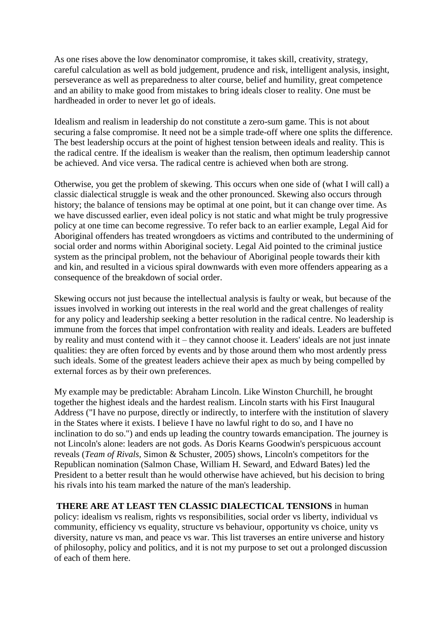As one rises above the low denominator compromise, it takes skill, creativity, strategy, careful calculation as well as bold judgement, prudence and risk, intelligent analysis, insight, perseverance as well as preparedness to alter course, belief and humility, great competence and an ability to make good from mistakes to bring ideals closer to reality. One must be hardheaded in order to never let go of ideals.

Idealism and realism in leadership do not constitute a zero-sum game. This is not about securing a false compromise. It need not be a simple trade-off where one splits the difference. The best leadership occurs at the point of highest tension between ideals and reality. This is the radical centre. If the idealism is weaker than the realism, then optimum leadership cannot be achieved. And vice versa. The radical centre is achieved when both are strong.

Otherwise, you get the problem of skewing. This occurs when one side of (what I will call) a classic dialectical struggle is weak and the other pronounced. Skewing also occurs through history; the balance of tensions may be optimal at one point, but it can change over time. As we have discussed earlier, even ideal policy is not static and what might be truly progressive policy at one time can become regressive. To refer back to an earlier example, Legal Aid for Aboriginal offenders has treated wrongdoers as victims and contributed to the undermining of social order and norms within Aboriginal society. Legal Aid pointed to the criminal justice system as the principal problem, not the behaviour of Aboriginal people towards their kith and kin, and resulted in a vicious spiral downwards with even more offenders appearing as a consequence of the breakdown of social order.

Skewing occurs not just because the intellectual analysis is faulty or weak, but because of the issues involved in working out interests in the real world and the great challenges of reality for any policy and leadership seeking a better resolution in the radical centre. No leadership is immune from the forces that impel confrontation with reality and ideals. Leaders are buffeted by reality and must contend with it – they cannot choose it. Leaders' ideals are not just innate qualities: they are often forced by events and by those around them who most ardently press such ideals. Some of the greatest leaders achieve their apex as much by being compelled by external forces as by their own preferences.

My example may be predictable: Abraham Lincoln. Like Winston Churchill, he brought together the highest ideals and the hardest realism. Lincoln starts with his First Inaugural Address ("I have no purpose, directly or indirectly, to interfere with the institution of slavery in the States where it exists. I believe I have no lawful right to do so, and I have no inclination to do so.") and ends up leading the country towards emancipation. The journey is not Lincoln's alone: leaders are not gods. As Doris Kearns Goodwin's perspicuous account reveals (*Team of Rivals,* Simon & Schuster, 2005) shows, Lincoln's competitors for the Republican nomination (Salmon Chase, William H. Seward, and Edward Bates) led the President to a better result than he would otherwise have achieved, but his decision to bring his rivals into his team marked the nature of the man's leadership.

**THERE ARE AT LEAST TEN CLASSIC DIALECTICAL TENSIONS** in human policy: idealism vs realism, rights vs responsibilities, social order vs liberty, individual vs community, efficiency vs equality, structure vs behaviour, opportunity vs choice, unity vs diversity, nature vs man, and peace vs war. This list traverses an entire universe and history of philosophy, policy and politics, and it is not my purpose to set out a prolonged discussion of each of them here.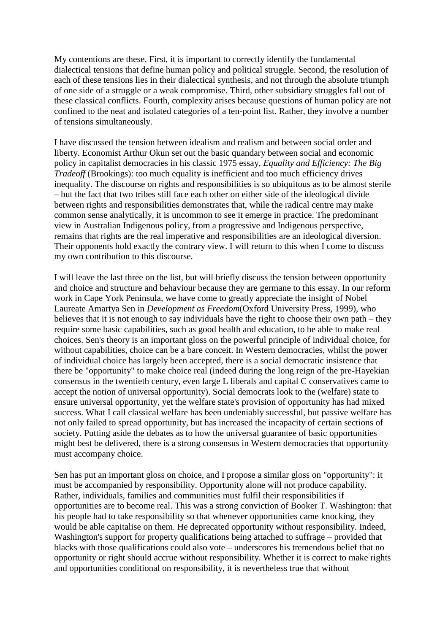My contentions are these. First, it is important to correctly identify the fundamental dialectical tensions that define human policy and political struggle. Second, the resolution of each of these tensions lies in their dialectical synthesis, and not through the absolute triumph of one side of a struggle or a weak compromise. Third, other subsidiary struggles fall out of these classical conflicts. Fourth, complexity arises because questions of human policy are not confined to the neat and isolated categories of a ten-point list. Rather, they involve a number of tensions simultaneously.

I have discussed the tension between idealism and realism and between social order and liberty. Economist Arthur Okun set out the basic quandary between social and economic policy in capitalist democracies in his classic 1975 essay, *Equality and Efficiency: The Big Tradeoff* (Brookings): too much equality is inefficient and too much efficiency drives inequality. The discourse on rights and responsibilities is so ubiquitous as to be almost sterile – but the fact that two tribes still face each other on either side of the ideological divide between rights and responsibilities demonstrates that, while the radical centre may make common sense analytically, it is uncommon to see it emerge in practice. The predominant view in Australian Indigenous policy, from a progressive and Indigenous perspective, remains that rights are the real imperative and responsibilities are an ideological diversion. Their opponents hold exactly the contrary view. I will return to this when I come to discuss my own contribution to this discourse.

I will leave the last three on the list, but will briefly discuss the tension between opportunity and choice and structure and behaviour because they are germane to this essay. In our reform work in Cape York Peninsula, we have come to greatly appreciate the insight of Nobel Laureate Amartya Sen in *Development as Freedom*(Oxford University Press, 1999), who believes that it is not enough to say individuals have the right to choose their own path – they require some basic capabilities, such as good health and education, to be able to make real choices. Sen's theory is an important gloss on the powerful principle of individual choice, for without capabilities, choice can be a bare conceit. In Western democracies, whilst the power of individual choice has largely been accepted, there is a social democratic insistence that there be "opportunity" to make choice real (indeed during the long reign of the pre-Hayekian consensus in the twentieth century, even large L liberals and capital C conservatives came to accept the notion of universal opportunity). Social democrats look to the (welfare) state to ensure universal opportunity, yet the welfare state's provision of opportunity has had mixed success. What I call classical welfare has been undeniably successful, but passive welfare has not only failed to spread opportunity, but has increased the incapacity of certain sections of society. Putting aside the debates as to how the universal guarantee of basic opportunities might best be delivered, there is a strong consensus in Western democracies that opportunity must accompany choice.

Sen has put an important gloss on choice, and I propose a similar gloss on "opportunity": it must be accompanied by responsibility. Opportunity alone will not produce capability. Rather, individuals, families and communities must fulfil their responsibilities if opportunities are to become real. This was a strong conviction of Booker T. Washington: that his people had to take responsibility so that whenever opportunities came knocking, they would be able capitalise on them. He deprecated opportunity without responsibility. Indeed, Washington's support for property qualifications being attached to suffrage – provided that blacks with those qualifications could also vote – underscores his tremendous belief that no opportunity or right should accrue without responsibility. Whether it is correct to make rights and opportunities conditional on responsibility, it is nevertheless true that without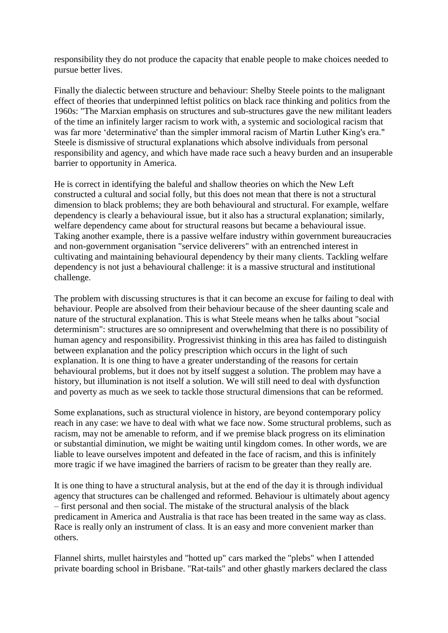responsibility they do not produce the capacity that enable people to make choices needed to pursue better lives.

Finally the dialectic between structure and behaviour: Shelby Steele points to the malignant effect of theories that underpinned leftist politics on black race thinking and politics from the 1960s: "The Marxian emphasis on structures and sub-structures gave the new militant leaders of the time an infinitely larger racism to work with, a systemic and sociological racism that was far more 'determinative' than the simpler immoral racism of Martin Luther King's era." Steele is dismissive of structural explanations which absolve individuals from personal responsibility and agency, and which have made race such a heavy burden and an insuperable barrier to opportunity in America.

He is correct in identifying the baleful and shallow theories on which the New Left constructed a cultural and social folly, but this does not mean that there is not a structural dimension to black problems; they are both behavioural and structural. For example, welfare dependency is clearly a behavioural issue, but it also has a structural explanation; similarly, welfare dependency came about for structural reasons but became a behavioural issue. Taking another example, there is a passive welfare industry within government bureaucracies and non-government organisation "service deliverers" with an entrenched interest in cultivating and maintaining behavioural dependency by their many clients. Tackling welfare dependency is not just a behavioural challenge: it is a massive structural and institutional challenge.

The problem with discussing structures is that it can become an excuse for failing to deal with behaviour. People are absolved from their behaviour because of the sheer daunting scale and nature of the structural explanation. This is what Steele means when he talks about "social determinism": structures are so omnipresent and overwhelming that there is no possibility of human agency and responsibility. Progressivist thinking in this area has failed to distinguish between explanation and the policy prescription which occurs in the light of such explanation. It is one thing to have a greater understanding of the reasons for certain behavioural problems, but it does not by itself suggest a solution. The problem may have a history, but illumination is not itself a solution. We will still need to deal with dysfunction and poverty as much as we seek to tackle those structural dimensions that can be reformed.

Some explanations, such as structural violence in history, are beyond contemporary policy reach in any case: we have to deal with what we face now. Some structural problems, such as racism, may not be amenable to reform, and if we premise black progress on its elimination or substantial diminution, we might be waiting until kingdom comes. In other words, we are liable to leave ourselves impotent and defeated in the face of racism, and this is infinitely more tragic if we have imagined the barriers of racism to be greater than they really are.

It is one thing to have a structural analysis, but at the end of the day it is through individual agency that structures can be challenged and reformed. Behaviour is ultimately about agency – first personal and then social. The mistake of the structural analysis of the black predicament in America and Australia is that race has been treated in the same way as class. Race is really only an instrument of class. It is an easy and more convenient marker than others.

Flannel shirts, mullet hairstyles and "hotted up" cars marked the "plebs" when I attended private boarding school in Brisbane. "Rat-tails" and other ghastly markers declared the class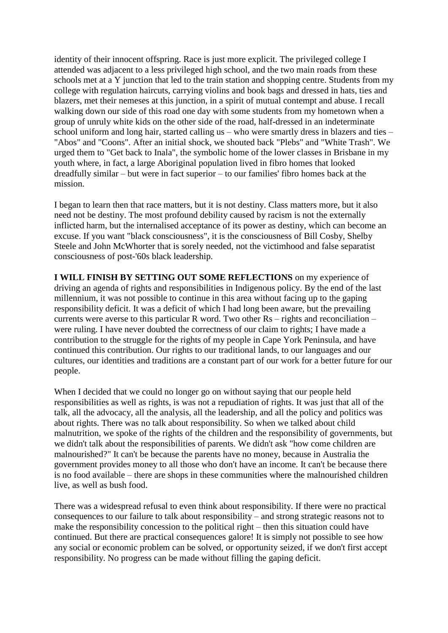identity of their innocent offspring. Race is just more explicit. The privileged college I attended was adjacent to a less privileged high school, and the two main roads from these schools met at a Y junction that led to the train station and shopping centre. Students from my college with regulation haircuts, carrying violins and book bags and dressed in hats, ties and blazers, met their nemeses at this junction, in a spirit of mutual contempt and abuse. I recall walking down our side of this road one day with some students from my hometown when a group of unruly white kids on the other side of the road, half-dressed in an indeterminate school uniform and long hair, started calling us – who were smartly dress in blazers and ties – "Abos" and "Coons". After an initial shock, we shouted back "Plebs" and "White Trash". We urged them to "Get back to Inala", the symbolic home of the lower classes in Brisbane in my youth where, in fact, a large Aboriginal population lived in fibro homes that looked dreadfully similar – but were in fact superior – to our families' fibro homes back at the mission.

I began to learn then that race matters, but it is not destiny. Class matters more, but it also need not be destiny. The most profound debility caused by racism is not the externally inflicted harm, but the internalised acceptance of its power as destiny, which can become an excuse. If you want "black consciousness", it is the consciousness of Bill Cosby, Shelby Steele and John McWhorter that is sorely needed, not the victimhood and false separatist consciousness of post-'60s black leadership.

**I WILL FINISH BY SETTING OUT SOME REFLECTIONS** on my experience of driving an agenda of rights and responsibilities in Indigenous policy. By the end of the last millennium, it was not possible to continue in this area without facing up to the gaping responsibility deficit. It was a deficit of which I had long been aware, but the prevailing currents were averse to this particular R word. Two other Rs – rights and reconciliation – were ruling. I have never doubted the correctness of our claim to rights; I have made a contribution to the struggle for the rights of my people in Cape York Peninsula, and have continued this contribution. Our rights to our traditional lands, to our languages and our cultures, our identities and traditions are a constant part of our work for a better future for our people.

When I decided that we could no longer go on without saying that our people held responsibilities as well as rights, is was not a repudiation of rights. It was just that all of the talk, all the advocacy, all the analysis, all the leadership, and all the policy and politics was about rights. There was no talk about responsibility. So when we talked about child malnutrition, we spoke of the rights of the children and the responsibility of governments, but we didn't talk about the responsibilities of parents. We didn't ask "how come children are malnourished?" It can't be because the parents have no money, because in Australia the government provides money to all those who don't have an income. It can't be because there is no food available – there are shops in these communities where the malnourished children live, as well as bush food.

There was a widespread refusal to even think about responsibility. If there were no practical consequences to our failure to talk about responsibility – and strong strategic reasons not to make the responsibility concession to the political right – then this situation could have continued. But there are practical consequences galore! It is simply not possible to see how any social or economic problem can be solved, or opportunity seized, if we don't first accept responsibility. No progress can be made without filling the gaping deficit.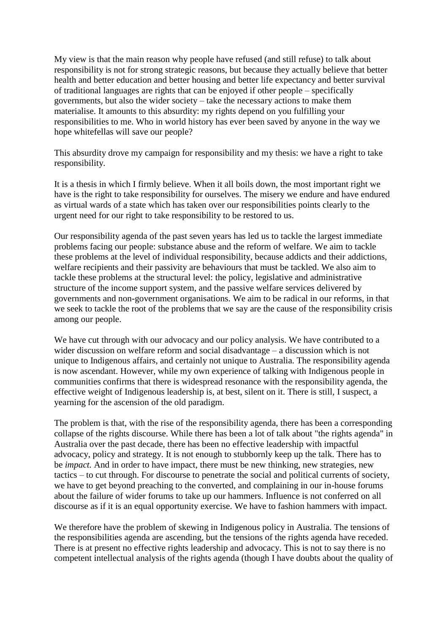My view is that the main reason why people have refused (and still refuse) to talk about responsibility is not for strong strategic reasons, but because they actually believe that better health and better education and better housing and better life expectancy and better survival of traditional languages are rights that can be enjoyed if other people – specifically governments, but also the wider society – take the necessary actions to make them materialise. It amounts to this absurdity: my rights depend on you fulfilling your responsibilities to me. Who in world history has ever been saved by anyone in the way we hope whitefellas will save our people?

This absurdity drove my campaign for responsibility and my thesis: we have a right to take responsibility.

It is a thesis in which I firmly believe. When it all boils down, the most important right we have is the right to take responsibility for ourselves. The misery we endure and have endured as virtual wards of a state which has taken over our responsibilities points clearly to the urgent need for our right to take responsibility to be restored to us.

Our responsibility agenda of the past seven years has led us to tackle the largest immediate problems facing our people: substance abuse and the reform of welfare. We aim to tackle these problems at the level of individual responsibility, because addicts and their addictions, welfare recipients and their passivity are behaviours that must be tackled. We also aim to tackle these problems at the structural level: the policy, legislative and administrative structure of the income support system, and the passive welfare services delivered by governments and non-government organisations. We aim to be radical in our reforms, in that we seek to tackle the root of the problems that we say are the cause of the responsibility crisis among our people.

We have cut through with our advocacy and our policy analysis. We have contributed to a wider discussion on welfare reform and social disadvantage – a discussion which is not unique to Indigenous affairs, and certainly not unique to Australia. The responsibility agenda is now ascendant. However, while my own experience of talking with Indigenous people in communities confirms that there is widespread resonance with the responsibility agenda, the effective weight of Indigenous leadership is, at best, silent on it. There is still, I suspect, a yearning for the ascension of the old paradigm.

The problem is that, with the rise of the responsibility agenda, there has been a corresponding collapse of the rights discourse. While there has been a lot of talk about "the rights agenda" in Australia over the past decade, there has been no effective leadership with impactful advocacy, policy and strategy. It is not enough to stubbornly keep up the talk. There has to be *impact.* And in order to have impact, there must be new thinking, new strategies, new tactics – to cut through. For discourse to penetrate the social and political currents of society, we have to get beyond preaching to the converted, and complaining in our in-house forums about the failure of wider forums to take up our hammers. Influence is not conferred on all discourse as if it is an equal opportunity exercise. We have to fashion hammers with impact.

We therefore have the problem of skewing in Indigenous policy in Australia. The tensions of the responsibilities agenda are ascending, but the tensions of the rights agenda have receded. There is at present no effective rights leadership and advocacy. This is not to say there is no competent intellectual analysis of the rights agenda (though I have doubts about the quality of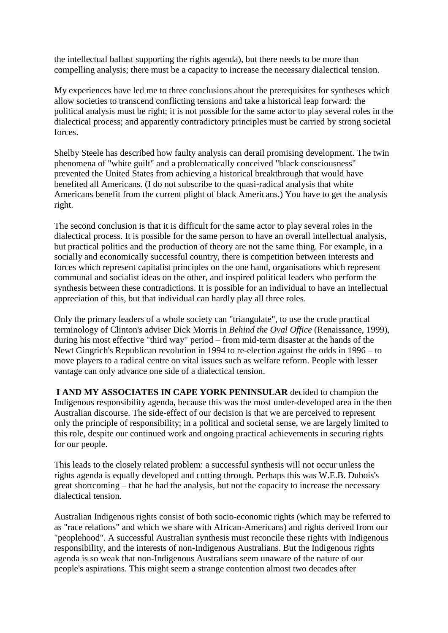the intellectual ballast supporting the rights agenda), but there needs to be more than compelling analysis; there must be a capacity to increase the necessary dialectical tension.

My experiences have led me to three conclusions about the prerequisites for syntheses which allow societies to transcend conflicting tensions and take a historical leap forward: the political analysis must be right; it is not possible for the same actor to play several roles in the dialectical process; and apparently contradictory principles must be carried by strong societal forces.

Shelby Steele has described how faulty analysis can derail promising development. The twin phenomena of "white guilt" and a problematically conceived "black consciousness" prevented the United States from achieving a historical breakthrough that would have benefited all Americans. (I do not subscribe to the quasi-radical analysis that white Americans benefit from the current plight of black Americans.) You have to get the analysis right.

The second conclusion is that it is difficult for the same actor to play several roles in the dialectical process. It is possible for the same person to have an overall intellectual analysis, but practical politics and the production of theory are not the same thing. For example, in a socially and economically successful country, there is competition between interests and forces which represent capitalist principles on the one hand, organisations which represent communal and socialist ideas on the other, and inspired political leaders who perform the synthesis between these contradictions. It is possible for an individual to have an intellectual appreciation of this, but that individual can hardly play all three roles.

Only the primary leaders of a whole society can "triangulate"*,* to use the crude practical terminology of Clinton's adviser Dick Morris in *Behind the Oval Office* (Renaissance, 1999), during his most effective "third way" period – from mid-term disaster at the hands of the Newt Gingrich's Republican revolution in 1994 to re-election against the odds in 1996 – to move players to a radical centre on vital issues such as welfare reform. People with lesser vantage can only advance one side of a dialectical tension.

**I AND MY ASSOCIATES IN CAPE YORK PENINSULAR** decided to champion the Indigenous responsibility agenda, because this was the most under-developed area in the then Australian discourse. The side-effect of our decision is that we are perceived to represent only the principle of responsibility; in a political and societal sense, we are largely limited to this role, despite our continued work and ongoing practical achievements in securing rights for our people.

This leads to the closely related problem: a successful synthesis will not occur unless the rights agenda is equally developed and cutting through. Perhaps this was W.E.B. Dubois's great shortcoming – that he had the analysis, but not the capacity to increase the necessary dialectical tension.

Australian Indigenous rights consist of both socio-economic rights (which may be referred to as "race relations" and which we share with African-Americans) and rights derived from our "peoplehood". A successful Australian synthesis must reconcile these rights with Indigenous responsibility, and the interests of non-Indigenous Australians. But the Indigenous rights agenda is so weak that non-Indigenous Australians seem unaware of the nature of our people's aspirations. This might seem a strange contention almost two decades after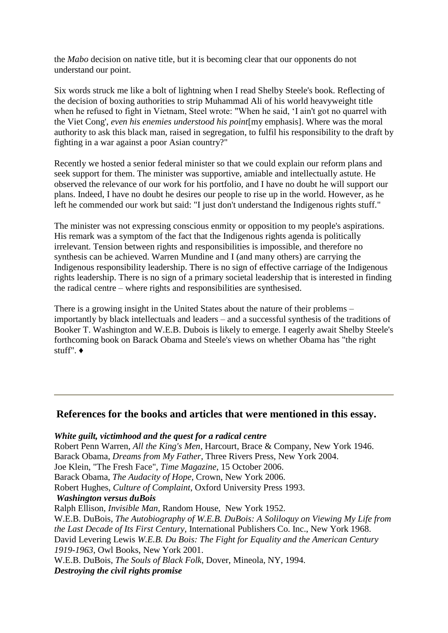the *Mabo* decision on native title, but it is becoming clear that our opponents do not understand our point.

Six words struck me like a bolt of lightning when I read Shelby Steele's book. Reflecting of the decision of boxing authorities to strip Muhammad Ali of his world heavyweight title when he refused to fight in Vietnam, Steel wrote: "When he said, 'I ain't got no quarrel with the Viet Cong', *even his enemies understood his point*[my emphasis]. Where was the moral authority to ask this black man, raised in segregation, to fulfil his responsibility to the draft by fighting in a war against a poor Asian country?"

Recently we hosted a senior federal minister so that we could explain our reform plans and seek support for them. The minister was supportive, amiable and intellectually astute. He observed the relevance of our work for his portfolio, and I have no doubt he will support our plans. Indeed, I have no doubt he desires our people to rise up in the world. However, as he left he commended our work but said: "I just don't understand the Indigenous rights stuff."

The minister was not expressing conscious enmity or opposition to my people's aspirations. His remark was a symptom of the fact that the Indigenous rights agenda is politically irrelevant. Tension between rights and responsibilities is impossible, and therefore no synthesis can be achieved. Warren Mundine and I (and many others) are carrying the Indigenous responsibility leadership. There is no sign of effective carriage of the Indigenous rights leadership. There is no sign of a primary societal leadership that is interested in finding the radical centre – where rights and responsibilities are synthesised.

There is a growing insight in the United States about the nature of their problems – importantly by black intellectuals and leaders – and a successful synthesis of the traditions of Booker T. Washington and W.E.B. Dubois is likely to emerge. I eagerly await Shelby Steele's forthcoming book on Barack Obama and Steele's views on whether Obama has "the right stuff". ♦

# **References for the books and articles that were mentioned in this essay.**

*White guilt, victimhood and the quest for a radical centre* Robert Penn Warren, *All the King's Men*, Harcourt, Brace & Company, New York 1946. Barack Obama, *Dreams from My Father*, Three Rivers Press, New York 2004. Joe Klein, "The Fresh Face", *Time Magazine*, 15 October 2006. Barack Obama, *The Audacity of Hope*, Crown, New York 2006. Robert Hughes, *Culture of Complaint*, Oxford University Press 1993. *Washington versus duBois* Ralph Ellison, *Invisible Man,* Random House, New York 1952. W.E.B. DuBois, *The Autobiography of W.E.B. DuBois: A Soliloquy on Viewing My Life from the Last Decade of Its First Century,* International Publishers Co. Inc., New York 1968. David Levering Lewis *W.E.B. Du Bois: The Fight for Equality and the American Century 1919-1963*, Owl Books, New York 2001. W.E.B. DuBois, *The Souls of Black Folk*, Dover, Mineola, NY, 1994.

*Destroying the civil rights promise*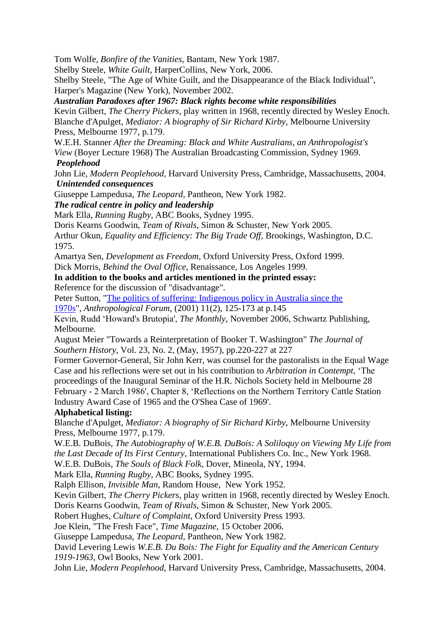Tom Wolfe, *Bonfire of the Vanities*, Bantam, New York 1987.

Shelby Steele, *White Guilt*, HarperCollins, New York, 2006.

Shelby Steele, "The Age of White Guilt, and the Disappearance of the Black Individual", Harper's Magazine (New York), November 2002.

*Australian Paradoxes after 1967: Black rights become white responsibilities*

Kevin Gilbert, *The Cherry Pickers*, play written in 1968, recently directed by Wesley Enoch. Blanche d'Apulget, *Mediator: A biography of Sir Richard Kirby,* Melbourne University Press, Melbourne 1977, p.179.

W.E.H. Stanner *After the Dreaming: Black and White Australians, an Anthropologist's View* (Boyer Lecture 1968) The Australian Broadcasting Commission, Sydney 1969.

# *Peoplehood*

John Lie, *Modern Peoplehood*, Harvard University Press, Cambridge, Massachusetts, 2004. *Unintended consequences*

Giuseppe Lampedusa, *The Leopard,* Pantheon, New York 1982.

# *The radical centre in policy and leadership*

Mark Ella, *Running Rugby*, ABC Books, Sydney 1995.

Doris Kearns Goodwin, *Team of Rivals*, Simon & Schuster, New York 2005.

Arthur Okun, *Equality and Efficiency: The Big Trade Off*, Brookings, Washington, D.C. 1975.

Amartya Sen, *Development as Freedom*, Oxford University Press, Oxford 1999.

Dick Morris, *Behind the Oval Office*, Renaissance, Los Angeles 1999.

**In addition to the books and articles mentioned in the printed essay:**

Reference for the discussion of "disadvantage".

Peter Sutton, ["The politics of suffering: Indigenous policy in Australia since the](http://learnline.cdu.edu.au/wip/cce/pdf/Sutton_Politics_of_Suffering_Anthropological_Forum.pdf) 

[1970s"](http://learnline.cdu.edu.au/wip/cce/pdf/Sutton_Politics_of_Suffering_Anthropological_Forum.pdf), *Anthropological Forum,* (2001) 11(2), 125-173 at p.145

Kevin, Rudd 'Howard's Brutopia', *The Monthly*, November 2006, Schwartz Publishing, Melbourne.

August Meier "Towards a Reinterpretation of Booker T. Washington" *The Journal of Southern History,* Vol. 23, No. 2, (May, 1957), pp.220-227 at 227

Former Governor-General, Sir John Kerr, was counsel for the pastoralists in the Equal Wage Case and his reflections were set out in his contribution to *Arbitration in Contempt*, 'The proceedings of the Inaugural Seminar of the H.R. Nichols Society held in Melbourne 28 February - 2 March 1986', Chapter 8, 'Reflections on the Northern Territory Cattle Station Industry Award Case of 1965 and the O'Shea Case of 1969'.

# **Alphabetical listing:**

Blanche d'Apulget, *Mediator: A biography of Sir Richard Kirby,* Melbourne University Press, Melbourne 1977, p.179.

W.E.B. DuBois, *The Autobiography of W.E.B. DuBois: A Soliloquy on Viewing My Life from the Last Decade of Its First Century*, International Publishers Co. Inc., New York 1968.

W.E.B. DuBois, *The Souls of Black Folk*, Dover, Mineola, NY, 1994.

Mark Ella, *Running Rugby*, ABC Books, Sydney 1995.

Ralph Ellison, *Invisible Man*, Random House, New York 1952.

Kevin Gilbert, *The Cherry Pickers*, play written in 1968, recently directed by Wesley Enoch. Doris Kearns Goodwin, *Team of Rivals*, Simon & Schuster, New York 2005.

Robert Hughes, *Culture of Complaint*, Oxford University Press 1993.

Joe Klein, "The Fresh Face", *Time Magazine*, 15 October 2006.

Giuseppe Lampedusa, *The Leopard,* Pantheon, New York 1982.

David Levering Lewis *W.E.B. Du Bois: The Fight for Equality and the American Century 1919-1963*, Owl Books, New York 2001.

John Lie, *Modern Peoplehood*, Harvard University Press, Cambridge, Massachusetts, 2004.